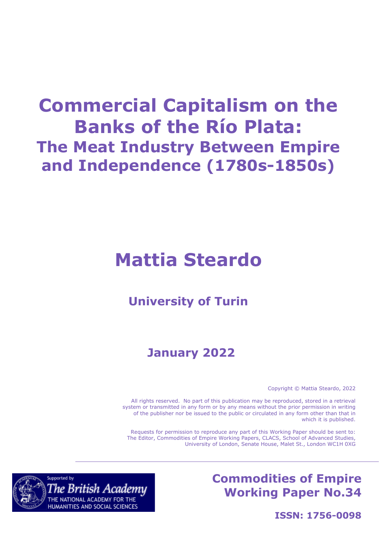# **Commercial Capitalism on the Banks of the Río Plata: The Meat Industry Between Empire and Independence (1780s-1850s)**

# **Mattia Steardo**

## **University of Turin**

# **January 2022**

Copyright © Mattia Steardo, 2022

All rights reserved. No part of this publication may be reproduced, stored in a retrieval system or transmitted in any form or by any means without the prior permission in writing of the publisher nor be issued to the public or circulated in any form other than that in which it is published.

Requests for permission to reproduce any part of this Working Paper should be sent to: The Editor, Commodities of Empire Working Papers, CLACS, School of Advanced Studies, University of London, Senate House, Malet St., London WC1H 0XG

## **Commodities of Empire Working Paper No.34**



**ISSN: 1756-0098**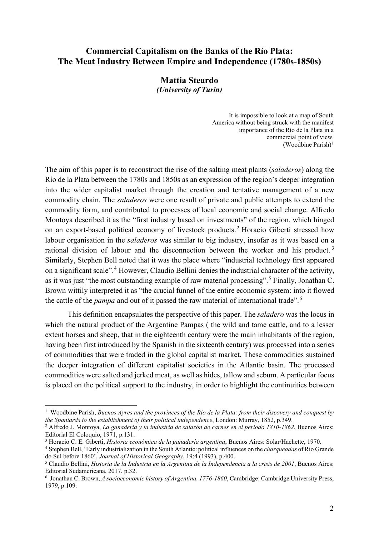### **Commercial Capitalism on the Banks of the Río Plata: The Meat Industry Between Empire and Independence (1780s-1850s)**

#### **Mattia Steardo** *(University of Turin)*

It is impossible to look at a map of South America without being struck with the manifest importance of the Río de la Plata in a commercial point of view. (Woodbine Parish) $1$ 

The aim of this paper is to reconstruct the rise of the salting meat plants (*saladeros*) along the Río de la Plata between the 1780s and 1850s as an expression of the region's deeper integration into the wider capitalist market through the creation and tentative management of a new commodity chain. The *saladeros* were one result of private and public attempts to extend the commodity form, and contributed to processes of local economic and social change. Alfredo Montoya described it as the "first industry based on investments" of the region, which hinged on an export-based political economy of livestock products. [2](#page-1-1) Horacio Giberti stressed how labour organisation in the *saladeros* was similar to big industry, insofar as it was based on a rational division of labour and the disconnection between the worker and his product.<sup>[3](#page-1-2)</sup> Similarly, Stephen Bell noted that it was the place where "industrial technology first appeared on a significant scale".[4](#page-1-3) However, Claudio Bellini denies the industrial character of the activity, as it was just "the most outstanding example of raw material processing".[5](#page-1-4) Finally, Jonathan C. Brown wittily interpreted it as "the crucial funnel of the entire economic system: into it flowed the cattle of the *pampa* and out of it passed the raw material of international trade".[6](#page-1-5)

This definition encapsulates the perspective of this paper. The *saladero* was the locus in which the natural product of the Argentine Pampas ( the wild and tame cattle, and to a lesser extent horses and sheep, that in the eighteenth century were the main inhabitants of the region, having been first introduced by the Spanish in the sixteenth century) was processed into a series of commodities that were traded in the global capitalist market. These commodities sustained the deeper integration of different capitalist societies in the Atlantic basin. The processed commodities were salted and jerked meat, as well as hides, tallow and sebum. A particular focus is placed on the political support to the industry, in order to highlight the continuities between

<span id="page-1-0"></span><sup>1</sup> Woodbine Parish, *Buenos Ayres and the provinces of the Rio de la Plata: from their discovery and conquest by the Spaniards to the establishment of their political independence*, London: Murray, 1852, p.349.

<span id="page-1-1"></span><sup>2</sup> Alfredo J. Montoya, *La ganadería y la industria de salazón de carnes en el periodo 1810-1862*, Buenos Aires: Editorial El Coloquio, 1971, p.131.<br><sup>3</sup> Horacio C. E. Giberti, *Historia económica de la ganadería argentina*, Buenos Aires: Solar/Hachette, 1970.

<span id="page-1-2"></span>

<span id="page-1-3"></span><sup>&</sup>lt;sup>4</sup> Stephen Bell, 'Early industrialization in the South Atlantic: political influences on the *charqueadas* of Rio Grande do Sul before 1860', *Journal of Historical Geography*, 19:4 (1993), p.400.

<span id="page-1-4"></span><sup>5</sup> Claudio Bellini, *Historia de la Industria en la Argentina de la Independencia a la crisis de 2001*, Buenos Aires: Editorial Sudamericana, 2017, p.32. 6

<span id="page-1-5"></span>Jonathan C. Brown, *A socioeconomic history of Argentina, 1776-1860*, Cambridge: Cambridge University Press, 1979, p.109.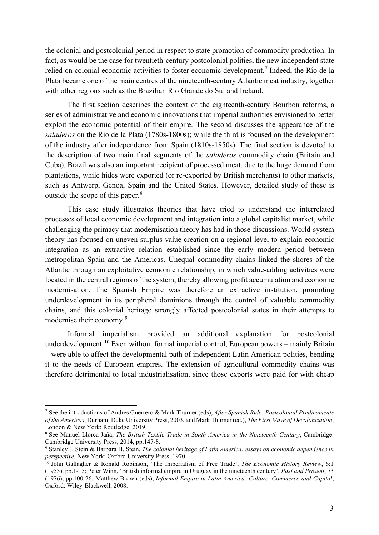the colonial and postcolonial period in respect to state promotion of commodity production. In fact, as would be the case for twentieth-century postcolonial polities, the new independent state relied on colonial economic activities to foster economic development.<sup>[7](#page-2-0)</sup> Indeed, the Río de la Plata became one of the main centres of the nineteenth-century Atlantic meat industry, together with other regions such as the Brazilian Rio Grande do Sul and Ireland.

The first section describes the context of the eighteenth-century Bourbon reforms, a series of administrative and economic innovations that imperial authorities envisioned to better exploit the economic potential of their empire. The second discusses the appearance of the *saladeros* on the Río de la Plata (1780s-1800s); while the third is focused on the development of the industry after independence from Spain (1810s-1850s). The final section is devoted to the description of two main final segments of the *saladeros* commodity chain (Britain and Cuba). Brazil was also an important recipient of processed meat, due to the huge demand from plantations, while hides were exported (or re-exported by British merchants) to other markets, such as Antwerp, Genoa, Spain and the United States. However, detailed study of these is outside the scope of this paper.<sup>[8](#page-2-1)</sup>

This case study illustrates theories that have tried to understand the interrelated processes of local economic development and integration into a global capitalist market, while challenging the primacy that modernisation theory has had in those discussions. World-system theory has focused on uneven surplus-value creation on a regional level to explain economic integration as an extractive relation established since the early modern period between metropolitan Spain and the Americas. Unequal commodity chains linked the shores of the Atlantic through an exploitative economic relationship, in which value-adding activities were located in the central regions of the system, thereby allowing profit accumulation and economic modernisation. The Spanish Empire was therefore an extractive institution, promoting underdevelopment in its peripheral dominions through the control of valuable commodity chains, and this colonial heritage strongly affected postcolonial states in their attempts to modernise their economy.<sup>[9](#page-2-2)</sup>

Informal imperialism provided an additional explanation for postcolonial underdevelopment.<sup>[10](#page-2-3)</sup> Even without formal imperial control, European powers – mainly Britain – were able to affect the developmental path of independent Latin American polities, bending it to the needs of European empires. The extension of agricultural commodity chains was therefore detrimental to local industrialisation, since those exports were paid for with cheap

<span id="page-2-0"></span><sup>7</sup> See the introductions of Andres Guerrero & Mark Thurner (eds), *After Spanish Rule: Postcolonial Predicaments of the Americas*, Durham: Duke University Press, 2003, and Mark Thurner (ed.), *The First Wave of Decolonization*,

<span id="page-2-1"></span><sup>&</sup>lt;sup>8</sup> See Manuel Llorca-Jaña, *The British Textile Trade in South America in the Nineteenth Century*, Cambridge: Cambridge: Cambridge University Press, 2014, pp. 147-8.

<span id="page-2-2"></span><sup>&</sup>lt;sup>9</sup> Stanley J. Stein & Barbara H. Stein, *The colonial heritage of Latin America: essays on economic dependence in perspective*, New York: Oxford University Press, 1970.<br><sup>10</sup> John Gallagher & Ronald Robinson, 'The Imperialism of Free Trade', *The Economic History Review*, 6:1

<span id="page-2-3"></span><sup>(1953),</sup> pp.1-15; Peter Winn, 'British informal empire in Uruguay in the nineteenth century', *Past and Present*, 73 (1976), pp.100-26; Matthew Brown (eds), *Informal Empire in Latin America: Culture, Commerce and Capital*, Oxford: Wiley-Blackwell, 2008.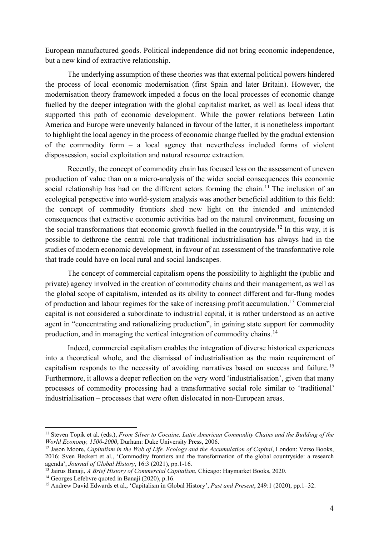European manufactured goods. Political independence did not bring economic independence, but a new kind of extractive relationship.

The underlying assumption of these theories was that external political powers hindered the process of local economic modernisation (first Spain and later Britain). However, the modernisation theory framework impeded a focus on the local processes of economic change fuelled by the deeper integration with the global capitalist market, as well as local ideas that supported this path of economic development. While the power relations between Latin America and Europe were unevenly balanced in favour of the latter, it is nonetheless important to highlight the local agency in the process of economic change fuelled by the gradual extension of the commodity form – a local agency that nevertheless included forms of violent dispossession, social exploitation and natural resource extraction.

Recently, the concept of commodity chain has focused less on the assessment of uneven production of value than on a micro-analysis of the wider social consequences this economic social relationship has had on the different actors forming the chain.<sup>[11](#page-3-0)</sup> The inclusion of an ecological perspective into world-system analysis was another beneficial addition to this field: the concept of commodity frontiers shed new light on the intended and unintended consequences that extractive economic activities had on the natural environment, focusing on the social transformations that economic growth fuelled in the countryside.<sup>[12](#page-3-1)</sup> In this way, it is possible to dethrone the central role that traditional industrialisation has always had in the studies of modern economic development, in favour of an assessment of the transformative role that trade could have on local rural and social landscapes.

The concept of commercial capitalism opens the possibility to highlight the (public and private) agency involved in the creation of commodity chains and their management, as well as the global scope of capitalism, intended as its ability to connect different and far-flung modes of production and labour regimes for the sake of increasing profit accumulation.[13](#page-3-2) Commercial capital is not considered a subordinate to industrial capital, it is rather understood as an active agent in "concentrating and rationalizing production", in gaining state support for commodity production, and in managing the vertical integration of commodity chains.[14](#page-3-3)

Indeed, commercial capitalism enables the integration of diverse historical experiences into a theoretical whole, and the dismissal of industrialisation as the main requirement of capitalism responds to the necessity of avoiding narratives based on success and failure.<sup>[15](#page-3-4)</sup> Furthermore, it allows a deeper reflection on the very word 'industrialisation', given that many processes of commodity processing had a transformative social role similar to 'traditional' industrialisation – processes that were often dislocated in non-European areas.

<span id="page-3-0"></span><sup>&</sup>lt;sup>11</sup> Steven Topik et al. (eds.), *From Silver to Cocaine. Latin American Commodity Chains and the Building of the World Economy, 1500-2000, Durham: Duke University Press, 2006.* 

<span id="page-3-1"></span><sup>&</sup>lt;sup>12</sup> Jason Moore, *Capitalism in the Web of Life. Ecology and the Accumulation of Capital, London: Verso Books,* 2016; Sven Beckert et al., 'Commodity frontiers and the transformation of the global countryside: a research agenda', Journal of Global History, 16:3 (2021), pp.1-16.

<span id="page-3-2"></span><sup>&</sup>lt;sup>13</sup> Jairus Banaji, *A Brief History of Commercial Capitalism*, Chicago: Haymarket Books, 2020.<br><sup>14</sup> Georges Lefebvre quoted in Banaji (2020), p.16.<br><sup>15</sup> Andrew David Edwards et al., 'Capitalism in Global History', *Past* 

<span id="page-3-3"></span>

<span id="page-3-4"></span>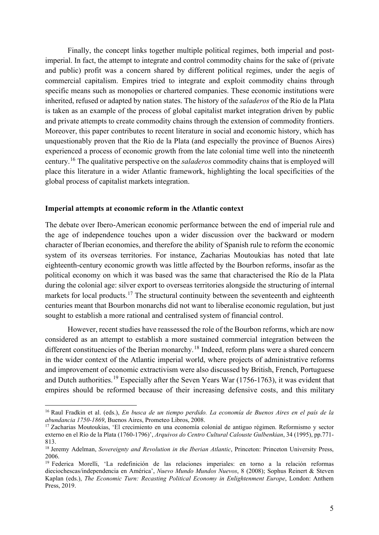Finally, the concept links together multiple political regimes, both imperial and postimperial. In fact, the attempt to integrate and control commodity chains for the sake of (private and public) profit was a concern shared by different political regimes, under the aegis of commercial capitalism. Empires tried to integrate and exploit commodity chains through specific means such as monopolies or chartered companies. These economic institutions were inherited, refused or adapted by nation states. The history of the *saladeros* of the Río de la Plata is taken as an example of the process of global capitalist market integration driven by public and private attempts to create commodity chains through the extension of commodity frontiers. Moreover, this paper contributes to recent literature in social and economic history, which has unquestionably proven that the Río de la Plata (and especially the province of Buenos Aires) experienced a process of economic growth from the late colonial time well into the nineteenth century.[16](#page-4-0) The qualitative perspective on the *saladeros* commodity chains that is employed will place this literature in a wider Atlantic framework, highlighting the local specificities of the global process of capitalist markets integration.

#### **Imperial attempts at economic reform in the Atlantic context**

The debate over Ibero-American economic performance between the end of imperial rule and the age of independence touches upon a wider discussion over the backward or modern character of Iberian economies, and therefore the ability of Spanish rule to reform the economic system of its overseas territories. For instance, Zacharias Moutoukias has noted that late eighteenth-century economic growth was little affected by the Bourbon reforms, insofar as the political economy on which it was based was the same that characterised the Río de la Plata during the colonial age: silver export to overseas territories alongside the structuring of internal markets for local products.<sup>[17](#page-4-1)</sup> The structural continuity between the seventeenth and eighteenth centuries meant that Bourbon monarchs did not want to liberalise economic regulation, but just sought to establish a more rational and centralised system of financial control.

However, recent studies have reassessed the role of the Bourbon reforms, which are now considered as an attempt to establish a more sustained commercial integration between the different constituencies of the Iberian monarchy.<sup>[18](#page-4-2)</sup> Indeed, reform plans were a shared concern in the wider context of the Atlantic imperial world, where projects of administrative reforms and improvement of economic extractivism were also discussed by British, French, Portuguese and Dutch authorities.<sup>[19](#page-4-3)</sup> Especially after the Seven Years War (1756-1763), it was evident that empires should be reformed because of their increasing defensive costs, and this military

<span id="page-4-0"></span><sup>16</sup> Raul Fradkin et al. (eds.), *En busca de un tiempo perdido. La economía de Buenos Aires en el país de la abundancia 1750-1869*, Buenos Aires, Prometeo Libros, 2008. 17 Zacharias Moutoukias, 'El crecimiento en una economía colonial de antiguo régimen. Reformismo y sector

<span id="page-4-1"></span>externo en el Río de la Plata (1760-1796)', *Arquivos do Centro Cultural Calouste Gulbenkian*, 34 (1995), pp.771- 813.

<span id="page-4-2"></span><sup>&</sup>lt;sup>18</sup> Jeremy Adelman, *Sovereignty and Revolution in the Iberian Atlantic*, Princeton: Princeton University Press, 2006.

<span id="page-4-3"></span><sup>19</sup> Federica Morelli, 'La redefinición de las relaciones imperiales: en torno a la relación reformas dieciochescas/independencia en América', *Nuevo Mundo Mundos Nuevos*, 8 (2008); Sophus Reinert & Steven Kaplan (eds.), *The Economic Turn: Recasting Political Economy in Enlightenment Europe*, London: Anthem Press, 2019.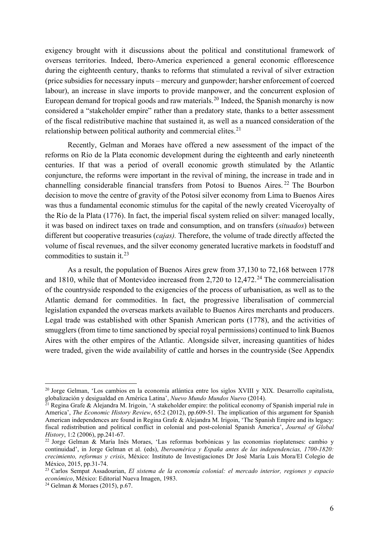exigency brought with it discussions about the political and constitutional framework of overseas territories. Indeed, Ibero-America experienced a general economic efflorescence during the eighteenth century, thanks to reforms that stimulated a revival of silver extraction (price subsidies for necessary inputs – mercury and gunpowder; harsher enforcement of coerced labour), an increase in slave imports to provide manpower, and the concurrent explosion of European demand for tropical goods and raw materials.<sup>[20](#page-5-0)</sup> Indeed, the Spanish monarchy is now considered a "stakeholder empire" rather than a predatory state, thanks to a better assessment of the fiscal redistributive machine that sustained it, as well as a nuanced consideration of the relationship between political authority and commercial elites. $21$ 

Recently, Gelman and Moraes have offered a new assessment of the impact of the reforms on Río de la Plata economic development during the eighteenth and early nineteenth centuries. If that was a period of overall economic growth stimulated by the Atlantic conjuncture, the reforms were important in the revival of mining, the increase in trade and in channelling considerable financial transfers from Potosí to Buenos Aires. [22](#page-5-2) The Bourbon decision to move the centre of gravity of the Potosí silver economy from Lima to Buenos Aires was thus a fundamental economic stimulus for the capital of the newly created Viceroyalty of the Río de la Plata (1776). In fact, the imperial fiscal system relied on silver: managed locally, it was based on indirect taxes on trade and consumption, and on transfers (*situados*) between different but cooperative treasuries (*cajas).* Therefore, the volume of trade directly affected the volume of fiscal revenues, and the silver economy generated lucrative markets in foodstuff and commodities to sustain it.<sup>[23](#page-5-3)</sup>

As a result, the population of Buenos Aires grew from 37,130 to 72,168 between 1778 and 1810, while that of Montevideo increased from 2,720 to 12,472. [24](#page-5-4) The commercialisation of the countryside responded to the exigencies of the process of urbanisation, as well as to the Atlantic demand for commodities. In fact, the progressive liberalisation of commercial legislation expanded the overseas markets available to Buenos Aires merchants and producers. Legal trade was established with other Spanish American ports (1778), and the activities of smugglers (from time to time sanctioned by special royal permissions) continued to link Buenos Aires with the other empires of the Atlantic. Alongside silver, increasing quantities of hides were traded, given the wide availability of cattle and horses in the countryside (See Appendix

<span id="page-5-0"></span><sup>&</sup>lt;sup>20</sup> Jorge Gelman, 'Los cambios en la economía atlántica entre los siglos XVIII y XIX. Desarrollo capitalista, globalización y desigualdad en América Latina', Nuevo Mundo Mundos Nuevo (2014).

<span id="page-5-1"></span><sup>&</sup>lt;sup>21</sup> Regina Grafe & Alejandra M. Irigoin, 'A stakeholder empire: the political economy of Spanish imperial rule in America', *The Economic History Review*, 65:2 (2012), pp.609-51. The implication of this argument for Spanish American independences are found in Regina Grafe & Alejandra M. Irigoin, 'The Spanish Empire and its legacy: fiscal redistribution and political conflict in colonial and post-colonial Spanish America', *Journal of Global History*, 1:2 (2006), pp.241-67.

<span id="page-5-2"></span><sup>22</sup> Jorge Gelman & María Inés Moraes, 'Las reformas borbónicas y las economías rioplatenses: cambio y continuidad', in Jorge Gelman et al. (eds), *Iberoamérica y España antes de las independencias, 1700-1820: crecimiento, reformas y crisis*, México: Instituto de Investigaciones Dr José María Luis Mora/El Colegio de México, 2015, pp.31-74.<br><sup>23</sup> Carlos Sempat Assadourian, *El sistema de la economía colonial: el mercado interior, regiones y espacio* 

<span id="page-5-3"></span>*económico*, México: Editorial Nueva Imagen, 1983. 24 Gelman & Moraes (2015), p.67.

<span id="page-5-4"></span>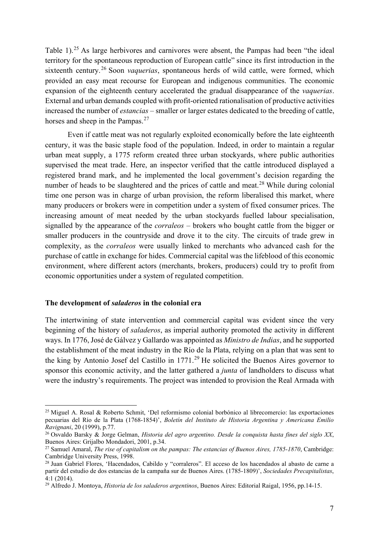Table 1).<sup>[25](#page-6-0)</sup> As large herbivores and carnivores were absent, the Pampas had been "the ideal territory for the spontaneous reproduction of European cattle" since its first introduction in the sixteenth century.[26](#page-6-1) Soon *vaquerias*, spontaneous herds of wild cattle, were formed, which provided an easy meat recourse for European and indigenous communities. The economic expansion of the eighteenth century accelerated the gradual disappearance of the *vaquerias*. External and urban demands coupled with profit-oriented rationalisation of productive activities increased the number of *estancias* – smaller or larger estates dedicated to the breeding of cattle, horses and sheep in the Pampas.<sup>[27](#page-6-2)</sup>

Even if cattle meat was not regularly exploited economically before the late eighteenth century, it was the basic staple food of the population. Indeed, in order to maintain a regular urban meat supply, a 1775 reform created three urban stockyards, where public authorities supervised the meat trade. Here, an inspector verified that the cattle introduced displayed a registered brand mark, and he implemented the local government's decision regarding the number of heads to be slaughtered and the prices of cattle and meat.<sup>[28](#page-6-3)</sup> While during colonial time one person was in charge of urban provision, the reform liberalised this market, where many producers or brokers were in competition under a system of fixed consumer prices. The increasing amount of meat needed by the urban stockyards fuelled labour specialisation, signalled by the appearance of the *corraleos* – brokers who bought cattle from the bigger or smaller producers in the countryside and drove it to the city. The circuits of trade grew in complexity, as the *corraleos* were usually linked to merchants who advanced cash for the purchase of cattle in exchange for hides. Commercial capital was the lifeblood of this economic environment, where different actors (merchants, brokers, producers) could try to profit from economic opportunities under a system of regulated competition.

#### **The development of** *saladeros* **in the colonial era**

The intertwining of state intervention and commercial capital was evident since the very beginning of the history of *saladeros*, as imperial authority promoted the activity in different ways. In 1776, José de Gálvez y Gallardo was appointed as *Ministro de Indias*, and he supported the establishment of the meat industry in the Río de la Plata, relying on a plan that was sent to the king by Antonio Josef del Castillo in  $1771<sup>29</sup>$  $1771<sup>29</sup>$  $1771<sup>29</sup>$  He solicited the Buenos Aires governor to sponsor this economic activity, and the latter gathered a *junta* of landholders to discuss what were the industry's requirements. The project was intended to provision the Real Armada with

<span id="page-6-0"></span><sup>25</sup> Miguel A. Rosal & Roberto Schmit, 'Del reformismo colonial borbónico al librecomercio: las exportaciones pecuarias del Río de la Plata (1768-1854)', *Boletín del Instituto de Historia Argentina y Americana Emilio Ravignani*, 20 (1999), p.77.

<span id="page-6-1"></span><sup>26</sup> Osvaldo Barsky & Jorge Gelman, *Historia del agro argentino. Desde la conquista hasta fines del siglo XX*, Buenos Aires: Grijalbo Mondadori, 2001, p.34.

<span id="page-6-2"></span><sup>27</sup> Samuel Amaral, *The rise of capitalism on the pampas: The estancias of Buenos Aires, 1785-1870*, Cambridge: Cambridge University Press, 1998.

<span id="page-6-3"></span><sup>28</sup> Juan Gabriel Flores, 'Hacendados, Cabildo y "corraleros". El acceso de los hacendados al abasto de carne a partir del estudio de dos estancias de la campaña sur de Buenos Aires. (1785-1809)', *Sociedades Precapitalistas*, 4:1 (2014). 29 Alfredo J. Montoya, *Historia de los saladeros argentinos*, Buenos Aires: Editorial Raigal, 1956, pp.14-15.

<span id="page-6-4"></span>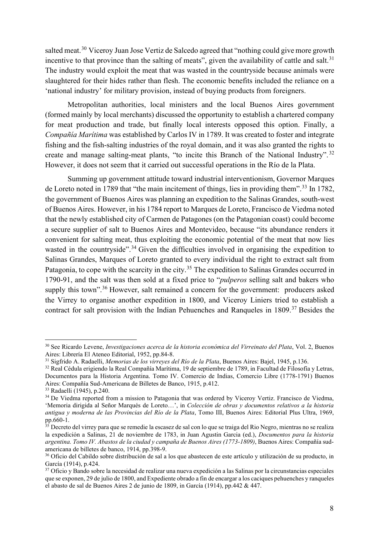salted meat.<sup>[30](#page-7-0)</sup> Viceroy Juan Jose Vertiz de Salcedo agreed that "nothing could give more growth incentive to that province than the salting of meats", given the availability of cattle and salt. $31$ The industry would exploit the meat that was wasted in the countryside because animals were slaughtered for their hides rather than flesh. The economic benefits included the reliance on a 'national industry' for military provision, instead of buying products from foreigners.

Metropolitan authorities, local ministers and the local Buenos Aires government (formed mainly by local merchants) discussed the opportunity to establish a chartered company for meat production and trade, but finally local interests opposed this option. Finally, a *Compañía Marítima* was established by Carlos IV in 1789. It was created to foster and integrate fishing and the fish-salting industries of the royal domain, and it was also granted the rights to create and manage salting-meat plants, "to incite this Branch of the National Industry". [32](#page-7-2) However, it does not seem that it carried out successful operations in the Río de la Plata.

Summing up government attitude toward industrial interventionism, Governor Marques de Loreto noted in 1789 that "the main incitement of things, lies in providing them".<sup>[33](#page-7-3)</sup> In 1782, the government of Buenos Aires was planning an expedition to the Salinas Grandes, south-west of Buenos Aires. However, in his 1784 report to Marques de Loreto, Francisco de Viedma noted that the newly established city of Carmen de Patagones (on the Patagonian coast) could become a secure supplier of salt to Buenos Aires and Montevideo, because "its abundance renders it convenient for salting meat, thus exploiting the economic potential of the meat that now lies wasted in the countryside".<sup>[34](#page-7-4)</sup> Given the difficulties involved in organising the expedition to Salinas Grandes, Marques of Loreto granted to every individual the right to extract salt from Patagonia, to cope with the scarcity in the city.<sup>[35](#page-7-5)</sup> The expedition to Salinas Grandes occurred in 1790-91, and the salt was then sold at a fixed price to "*pulperos* selling salt and bakers who supply this town".<sup>[36](#page-7-6)</sup> However, salt remained a concern for the government: producers asked the Virrey to organise another expedition in 1800, and Viceroy Liniers tried to establish a contract for salt provision with the Indian Pehuenches and Ranqueles in 1809.<sup>[37](#page-7-7)</sup> Besides the

<span id="page-7-0"></span><sup>30</sup> See Ricardo Levene, *Investigaciones acerca de la historia económica del Virreinato del Plata*, Vol. 2, Buenos Aires: Librería El Ateneo Editorial, 1952, pp.84-8.<br><sup>31</sup> Sigfrido A. Radaelli, *Memorias de los virreyes del Río de la Plata*, Buenos Aires: Bajel, 1945, p.136.

<span id="page-7-1"></span>

<span id="page-7-2"></span><sup>&</sup>lt;sup>32</sup> Real Cédula erigiendo la Real Compañía Marítima, 19 de septiembre de 1789, in Facultad de Filosofía y Letras, Documentos para la Historia Argentina. Tomo IV. Comercio de Indias, Comercio Libre (1778-1791) Buenos Aires: Compañía Sud-Americana de Billetes de Banco, 1915, p.412.

<span id="page-7-4"></span><span id="page-7-3"></span> $33$  Radaelli (1945), p.240.<br><sup>34</sup> De Viedma reported from a mission to Patagonia that was ordered by Viceroy Vertiz. Francisco de Viedma, 'Memoria dirigida al Señor Marqués de Loreto…', in *Colección de obras y documentos relativos a la historia antigua y moderna de las Provincias del Río de la Plata*, Tomo III, Buenos Aires: Editorial Plus Ultra, 1969,

<span id="page-7-5"></span><sup>&</sup>lt;sup>35</sup> Decreto del virrey para que se remedie la escasez de sal con lo que se traiga del Rio Negro, mientras no se realiza la expedición a Salinas, 21 de noviembre de 1783, in Juan Agustin Garcia (ed.), *Documentos para la historia argentina. Tomo IV. Abastos de la ciudad y campaña de Buenos Aires (1773-1809)*, Buenos Aires: Compañía sudamericana de billetes de banco, 1914, pp.398-9.

<span id="page-7-6"></span><sup>36</sup> Oficio del Cabildo sobre distribución de sal a los que abastecen de este artículo y utilización de su producto, in García (1914), p.424.

<span id="page-7-7"></span><sup>37</sup> Oficio y Bando sobre la necesidad de realizar una nueva expedición a las Salinas por la circunstancias especiales que se exponen, 29 de julio de 1800, and Expediente obrado a fin de encargar a los caciques pehuenches y ranqueles el abasto de sal de Buenos Aires 2 de junio de 1809, in García (1914), pp.442 & 447.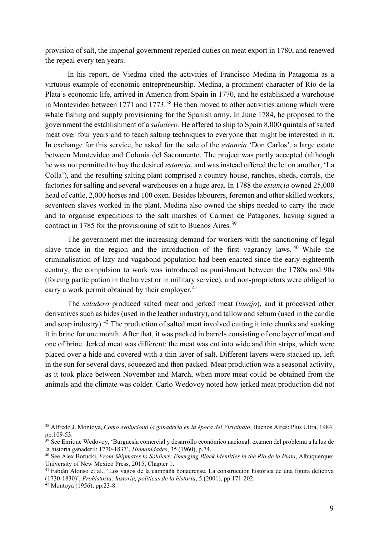provision of salt, the imperial government repealed duties on meat export in 1780, and renewed the repeal every ten years.

In his report, de Viedma cited the activities of Francisco Medina in Patagonia as a virtuous example of economic entrepreneurship. Medina, a prominent character of Río de la Plata's economic life, arrived in America from Spain in 1770, and he established a warehouse in Montevideo between 1771 and 1773.<sup>[38](#page-8-0)</sup> He then moved to other activities among which were whale fishing and supply provisioning for the Spanish army. In June 1784, he proposed to the government the establishment of a *saladero.* He offered to ship to Spain 8,000 quintals of salted meat over four years and to teach salting techniques to everyone that might be interested in it. In exchange for this service, he asked for the sale of the *estancia* 'Don Carlos', a large estate between Montevideo and Colonia del Sacramento. The project was partly accepted (although he was not permitted to buy the desired *estancia*, and was instead offered the let on another, 'La Colla'), and the resulting salting plant comprised a country house, ranches, sheds, corrals, the factories for salting and several warehouses on a huge area. In 1788 the *estancia* owned 25,000 head of cattle, 2,000 horses and 100 oxen. Besides labourers, foremen and other skilled workers, seventeen slaves worked in the plant. Medina also owned the ships needed to carry the trade and to organise expeditions to the salt marshes of Carmen de Patagones, having signed a contract in 1785 for the provisioning of salt to Buenos Aires.<sup>[39](#page-8-1)</sup>

The government met the increasing demand for workers with the sanctioning of legal slave trade in the region and the introduction of the first vagrancy laws. <sup>[40](#page-8-2)</sup> While the criminalisation of lazy and vagabond population had been enacted since the early eighteenth century, the compulsion to work was introduced as punishment between the 1780s and 90s (forcing participation in the harvest or in military service), and non-proprietors were obliged to carry a work permit obtained by their employer. $41$ 

The *saladero* produced salted meat and jerked meat (*tasajo*), and it processed other derivatives such as hides (used in the leather industry), and tallow and sebum (used in the candle and soap industry).<sup>[42](#page-8-4)</sup> The production of salted meat involved cutting it into chunks and soaking it in brine for one month. After that, it was packed in barrels consisting of one layer of meat and one of brine. Jerked meat was different: the meat was cut into wide and thin strips, which were placed over a hide and covered with a thin layer of salt. Different layers were stacked up, left in the sun for several days, squeezed and then packed. Meat production was a seasonal activity, as it took place between November and March, when more meat could be obtained from the animals and the climate was colder. Carlo Wedovoy noted how jerked meat production did not

<span id="page-8-0"></span><sup>38</sup> Alfredo J. Montoya, *Como evolucionó la ganadería en la época del Virreinato*, Buenos Aires: Plus Ultra, 1984, pp.109-53.

<span id="page-8-1"></span> $39$  See Enrique Wedovoy, 'Burguesía comercial y desarrollo económico nacional: examen del problema a la luz de la historia ganaderil: 1770-1837', *Humanidades*, 35 (1960), p.74.

<span id="page-8-2"></span><sup>&</sup>lt;sup>40</sup> See Alex Borucki, *From Shipmates to Soldiers: Emerging Black Identities in the Rio de la Plata*, Albuquerque: University of New Mexico Press, 2015, Chapter 1.

<span id="page-8-3"></span><sup>41</sup> Fabián Alonso et al., 'Los vagos de la campaña bonaerense. La construcción histórica de una figura delictiva (1730-1830)', *Prohistoria: historia, políticas de la historia*, 5 (2001), pp.171-202.

<span id="page-8-4"></span><sup>42</sup> Montoya (1956), pp.23-8.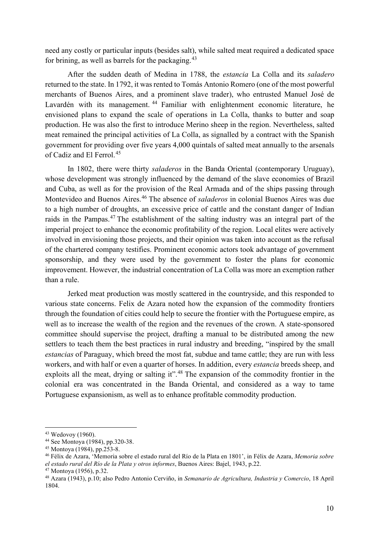need any costly or particular inputs (besides salt), while salted meat required a dedicated space for brining, as well as barrels for the packaging.  $43$ 

After the sudden death of Medina in 1788, the *estancia* La Colla and its *saladero* returned to the state. In 1792, it was rented to Tomás Antonio Romero (one of the most powerful merchants of Buenos Aires, and a prominent slave trader), who entrusted Manuel José de Lavardén with its management.<sup>[44](#page-9-1)</sup> Familiar with enlightenment economic literature, he envisioned plans to expand the scale of operations in La Colla, thanks to butter and soap production. He was also the first to introduce Merino sheep in the region. Nevertheless, salted meat remained the principal activities of La Colla, as signalled by a contract with the Spanish government for providing over five years 4,000 quintals of salted meat annually to the arsenals of Cadiz and El Ferrol.<sup>[45](#page-9-2)</sup>

In 1802, there were thirty *saladeros* in the Banda Oriental (contemporary Uruguay), whose development was strongly influenced by the demand of the slave economies of Brazil and Cuba, as well as for the provision of the Real Armada and of the ships passing through Montevideo and Buenos Aires.[46](#page-9-3) The absence of *saladeros* in colonial Buenos Aires was due to a high number of droughts, an excessive price of cattle and the constant danger of Indian raids in the Pampas.<sup>[47](#page-9-4)</sup> The establishment of the salting industry was an integral part of the imperial project to enhance the economic profitability of the region. Local elites were actively involved in envisioning those projects, and their opinion was taken into account as the refusal of the chartered company testifies. Prominent economic actors took advantage of government sponsorship, and they were used by the government to foster the plans for economic improvement. However, the industrial concentration of La Colla was more an exemption rather than a rule.

Jerked meat production was mostly scattered in the countryside, and this responded to various state concerns. Felix de Azara noted how the expansion of the commodity frontiers through the foundation of cities could help to secure the frontier with the Portuguese empire, as well as to increase the wealth of the region and the revenues of the crown. A state-sponsored committee should supervise the project, drafting a manual to be distributed among the new settlers to teach them the best practices in rural industry and breeding, "inspired by the small *estancias* of Paraguay, which breed the most fat, subdue and tame cattle; they are run with less workers, and with half or even a quarter of horses. In addition, every *estancia* breeds sheep, and exploits all the meat, drying or salting it".<sup>[48](#page-9-5)</sup> The expansion of the commodity frontier in the colonial era was concentrated in the Banda Oriental, and considered as a way to tame Portuguese expansionism, as well as to enhance profitable commodity production.

<span id="page-9-0"></span><sup>43</sup> Wedovoy (1960).

<span id="page-9-1"></span><sup>44</sup> See Montoya (1984), pp.320-38.

<span id="page-9-2"></span><sup>45</sup> Montoya (1984), pp.253-8.

<span id="page-9-3"></span><sup>46</sup> Félix de Azara, 'Memoria sobre el estado rural del Río de la Plata en 1801', in Félix de Azara, *Memoria sobre el estado rural del Río de la Plata y otros informes*, Buenos Aires: Bajel, 1943, p.22.

<span id="page-9-5"></span><span id="page-9-4"></span><sup>47</sup> Montoya (1956), p.32. 48 Azara (1943), p.10; also Pedro Antonio Cerviño, in *Semanario de Agricultura, Industria y Comercio*, 18 April 1804.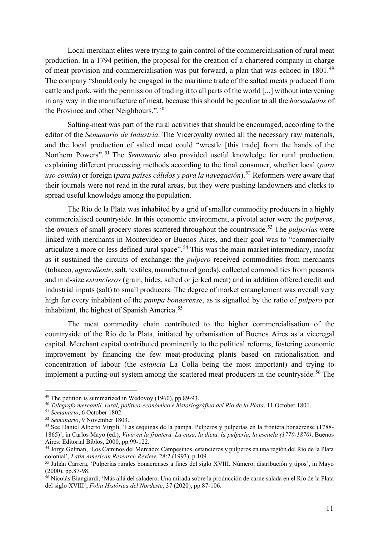Local merchant elites were trying to gain control of the commercialisation of rural meat production. In a 1794 petition, the proposal for the creation of a chartered company in charge of meat provision and commercialisation was put forward, a plan that was echoed in 1801.<sup>[49](#page-10-0)</sup> The company "should only be engaged in the maritime trade of the salted meats produced from cattle and pork, with the permission of trading it to all parts of the world [...] without intervening in any way in the manufacture of meat, because this should be peculiar to all the *hacendados* of the Province and other Neighbours.".<sup>[50](#page-10-1)</sup>

Salting-meat was part of the rural activities that should be encouraged, according to the editor of the *Semanario de Industria*. The Viceroyalty owned all the necessary raw materials, and the local production of salted meat could "wrestle [this trade] from the hands of the Northern Powers". [51](#page-10-2) The *Semanario* also provided useful knowledge for rural production, explaining different processing methods according to the final consumer, whether local (*para uso común*) or foreign (*para países cálidos y para la navegación*).<sup>[52](#page-10-3)</sup> Reformers were aware that their journals were not read in the rural areas, but they were pushing landowners and clerks to spread useful knowledge among the population.

The Río de la Plata was inhabited by a grid of smaller commodity producers in a highly commercialised countryside. In this economic environment, a pivotal actor were the *pulperos*, the owners of small grocery stores scattered throughout the countryside.[53](#page-10-4) The *pulperías* were linked with merchants in Montevideo or Buenos Aires, and their goal was to "commercially articulate a more or less defined rural space".<sup>[54](#page-10-5)</sup> This was the main market intermediary, insofar as it sustained the circuits of exchange: the *pulpero* received commodities from merchants (tobacco, *aguardiente*, salt, textiles, manufactured goods), collected commodities from peasants and mid-size *estancieros* (grain, hides, salted or jerked meat) and in addition offered credit and industrial inputs (salt) to small producers. The degree of market entanglement was overall very high for every inhabitant of the *pampa bonaerense*, as is signalled by the ratio of *pulpero* per inhabitant, the highest of Spanish America.<sup>[55](#page-10-6)</sup>

The meat commodity chain contributed to the higher commercialisation of the countryside of the Río de la Plata, initiated by urbanisation of Buenos Aires as a viceregal capital. Merchant capital contributed prominently to the political reforms, fostering economic improvement by financing the few meat-producing plants based on rationalisation and concentration of labour (the *estancia* La Colla being the most important) and trying to implement a putting-out system among the scattered meat producers in the countryside.<sup>[56](#page-10-7)</sup> The

<span id="page-10-1"></span><span id="page-10-0"></span><sup>49</sup> The petition is summarized in Wedovoy (1960), pp.89-93. 50 *Telégrafo mercantil, rural, político-económico e historiográfico del Río de la Plata*, 11 October 1801.

<span id="page-10-2"></span><sup>51</sup> *Semanario*, 6 October 1802.

<span id="page-10-3"></span><sup>52</sup> *Semanario*, 9 November 1803.

<span id="page-10-4"></span><sup>53</sup> See Daniel Alberto Virgili, 'Las esquinas de la pampa. Pulperos y pulperías en la frontera bonaerense (1788-1865)', in Carlos Mayo (ed.), *Vivir en la frontera. La casa, la dieta, la pulpería, la escuela (1770-1870)*, Buenos Aires: Editorial Biblos, 2000, pp.99-122.

<span id="page-10-5"></span><sup>&</sup>lt;sup>54</sup> Jorge Gelman, 'Los Caminos del Mercado: Campesinos, estancieros y pulperos en una región del Río de la Plata colonial', *Latin American Research Review*, 28:2 (1993), p.109.

<span id="page-10-6"></span><sup>&</sup>lt;sup>55</sup> Juliàn Carrera, 'Pulperías rurales bonaerenses a fines del siglo XVIII. Número, distribución y tipos', in Mayo (2000), pp.87-98.

<span id="page-10-7"></span><sup>56</sup> Nicolás Biangiardi, 'Más allá del saladero. Una mirada sobre la producción de carne salada en el Río de la Plata del siglo XVIII', *Folia Histórica del Nordeste*, 37 (2020), pp.87-106.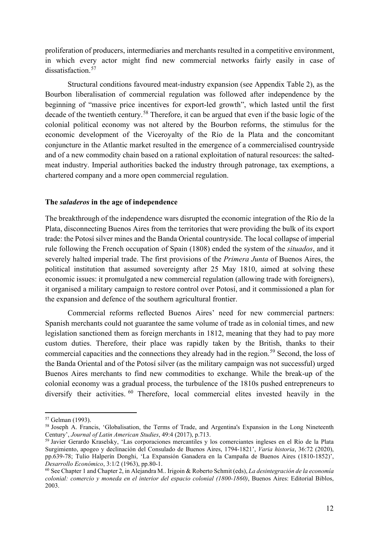proliferation of producers, intermediaries and merchants resulted in a competitive environment, in which every actor might find new commercial networks fairly easily in case of dissatisfaction.<sup>[57](#page-11-0)</sup>

Structural conditions favoured meat-industry expansion (see Appendix Table 2), as the Bourbon liberalisation of commercial regulation was followed after independence by the beginning of "massive price incentives for export-led growth", which lasted until the first decade of the twentieth century.<sup>[58](#page-11-1)</sup> Therefore, it can be argued that even if the basic logic of the colonial political economy was not altered by the Bourbon reforms, the stimulus for the economic development of the Viceroyalty of the Río de la Plata and the concomitant conjuncture in the Atlantic market resulted in the emergence of a commercialised countryside and of a new commodity chain based on a rational exploitation of natural resources: the saltedmeat industry. Imperial authorities backed the industry through patronage, tax exemptions, a chartered company and a more open commercial regulation.

#### **The** *saladeros* **in the age of independence**

The breakthrough of the independence wars disrupted the economic integration of the Río de la Plata, disconnecting Buenos Aires from the territories that were providing the bulk of its export trade: the Potosí silver mines and the Banda Oriental countryside. The local collapse of imperial rule following the French occupation of Spain (1808) ended the system of the *situados*, and it severely halted imperial trade. The first provisions of the *Primera Junta* of Buenos Aires, the political institution that assumed sovereignty after 25 May 1810, aimed at solving these economic issues: it promulgated a new commercial regulation (allowing trade with foreigners), it organised a military campaign to restore control over Potosí, and it commissioned a plan for the expansion and defence of the southern agricultural frontier.

Commercial reforms reflected Buenos Aires' need for new commercial partners: Spanish merchants could not guarantee the same volume of trade as in colonial times, and new legislation sanctioned them as foreign merchants in 1812, meaning that they had to pay more custom duties. Therefore, their place was rapidly taken by the British, thanks to their commercial capacities and the connections they already had in the region.<sup>[59](#page-11-2)</sup> Second, the loss of the Banda Oriental and of the Potosí silver (as the military campaign was not successful) urged Buenos Aires merchants to find new commodities to exchange. While the break-up of the colonial economy was a gradual process, the turbulence of the 1810s pushed entrepreneurs to diversify their activities. <sup>[60](#page-11-3)</sup> Therefore, local commercial elites invested heavily in the

<span id="page-11-1"></span><span id="page-11-0"></span> $57$  Gelman (1993).<br> $58$  Joseph A. Francis, 'Globalisation, the Terms of Trade, and Argentina's Expansion in the Long Nineteenth Century', *Journal of Latin American Studies*, 49:4 (2017), p.713.

<span id="page-11-2"></span><sup>59</sup> Javier Gerardo Kraselsky, 'Las corporaciones mercantiles y los comerciantes ingleses en el Río de la Plata Surgimiento, apogeo y declinación del Consulado de Buenos Aires, 1794-1821', *Varia historia*, 36:72 (2020), pp.639-78; Tulio Halperín Donghi, 'La Expansión Ganadera en la Campaña de Buenos Aires (1810-1852)', *Desarrollo Económico*, 3:1/2 (1963), pp.80-1.

<span id="page-11-3"></span><sup>60</sup> See Chapter 1 and Chapter 2, in Alejandra M.. Irigoin & Roberto Schmit (eds), *La desintegración de la economía colonial: comercio y moneda en el interior del espacio colonial (1800-1860)*, Buenos Aires: Editorial Biblos, 2003.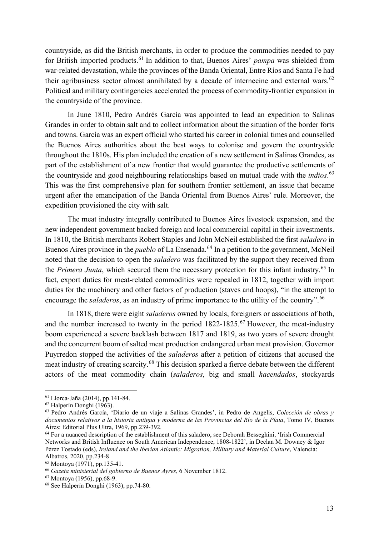countryside, as did the British merchants, in order to produce the commodities needed to pay for British imported products.[61](#page-12-0) In addition to that, Buenos Aires' *pampa* was shielded from war-related devastation, while the provinces of the Banda Oriental, Entre Ríos and Santa Fe had their agribusiness sector almost annihilated by a decade of internecine and external wars.<sup>[62](#page-12-1)</sup> Political and military contingencies accelerated the process of commodity-frontier expansion in the countryside of the province.

In June 1810, Pedro Andrés García was appointed to lead an expedition to Salinas Grandes in order to obtain salt and to collect information about the situation of the border forts and towns. García was an expert official who started his career in colonial times and counselled the Buenos Aires authorities about the best ways to colonise and govern the countryside throughout the 1810s. His plan included the creation of a new settlement in Salinas Grandes, as part of the establishment of a new frontier that would guarantee the productive settlements of the countryside and good neighbouring relationships based on mutual trade with the *indios*. [63](#page-12-2) This was the first comprehensive plan for southern frontier settlement, an issue that became urgent after the emancipation of the Banda Oriental from Buenos Aires' rule. Moreover, the expedition provisioned the city with salt.

The meat industry integrally contributed to Buenos Aires livestock expansion, and the new independent government backed foreign and local commercial capital in their investments. In 1810, the British merchants Robert Staples and John McNeil established the first *saladero* in Buenos Aires province in the *pueblo* of La Ensenada.<sup>[64](#page-12-3)</sup> In a petition to the government, McNeil noted that the decision to open the *saladero* was facilitated by the support they received from the *Primera Junta*, which secured them the necessary protection for this infant industry.<sup>[65](#page-12-4)</sup> In fact, export duties for meat-related commodities were repealed in 1812, together with import duties for the machinery and other factors of production (staves and hoops), "in the attempt to encourage the *saladeros*, as an industry of prime importance to the utility of the country".<sup>[66](#page-12-5)</sup>

In 1818, there were eight *saladeros* owned by locals, foreigners or associations of both, and the number increased to twenty in the period 1822-1825.<sup>[67](#page-12-6)</sup> However, the meat-industry boom experienced a severe backlash between 1817 and 1819, as two years of severe drought and the concurrent boom of salted meat production endangered urban meat provision. Governor Puyrredon stopped the activities of the *saladeros* after a petition of citizens that accused the meat industry of creating scarcity.[68](#page-12-7) This decision sparked a fierce debate between the different actors of the meat commodity chain (*saladeros*, big and small *hacendados*, stockyards

<span id="page-12-0"></span><sup>61</sup> Llorca-Jaña (2014), pp.141-84.

<span id="page-12-1"></span><sup>62</sup> Halperín Donghi (1963).

<span id="page-12-2"></span><sup>63</sup> Pedro Andrés García, 'Diario de un viaje a Salinas Grandes', in Pedro de Angelis, *Colección de obras y documentos relativos a la historia antigua y moderna de las Provincias del Río de la Plata*, Tomo IV, Buenos Aires: Editorial Plus Ultra, 1969, pp.239-392.

<span id="page-12-3"></span><sup>64</sup> For a nuanced description of the establishment of this saladero, see Deborah Besseghini, 'Irish Commercial Networks and British Influence on South American Independence, 1808-1822', in Declan M. Downey & Igor Pérez Tostado (eds), *Ireland and the Iberian Atlantic: Migration, Military and Material Culture*, Valencia:

<span id="page-12-4"></span>Albatros, 2020, pp.234-8<br><sup>65</sup> Montoya (1971), pp.135-41.

<span id="page-12-6"></span><span id="page-12-5"></span><sup>&</sup>lt;sup>66</sup> Gazeta ministerial del gobierno de Buenos Ayres, 6 November 1812.<br><sup>67</sup> Montoya (1956), pp.68-9.

<span id="page-12-7"></span> $68$  See Halperín Donghi (1963), pp.74-80.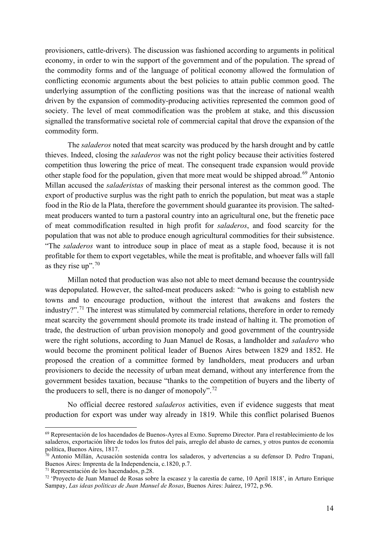provisioners, cattle-drivers). The discussion was fashioned according to arguments in political economy, in order to win the support of the government and of the population. The spread of the commodity forms and of the language of political economy allowed the formulation of conflicting economic arguments about the best policies to attain public common good. The underlying assumption of the conflicting positions was that the increase of national wealth driven by the expansion of commodity-producing activities represented the common good of society. The level of meat commodification was the problem at stake, and this discussion signalled the transformative societal role of commercial capital that drove the expansion of the commodity form.

The *saladeros* noted that meat scarcity was produced by the harsh drought and by cattle thieves. Indeed, closing the *saladeros* was not the right policy because their activities fostered competition thus lowering the price of meat. The consequent trade expansion would provide other staple food for the population, given that more meat would be shipped abroad.<sup>[69](#page-13-0)</sup> Antonio Millan accused the *saladeristas* of masking their personal interest as the common good. The export of productive surplus was the right path to enrich the population, but meat was a staple food in the Río de la Plata, therefore the government should guarantee its provision. The saltedmeat producers wanted to turn a pastoral country into an agricultural one, but the frenetic pace of meat commodification resulted in high profit for *saladeros*, and food scarcity for the population that was not able to produce enough agricultural commodities for their subsistence. "The *saladeros* want to introduce soup in place of meat as a staple food, because it is not profitable for them to export vegetables, while the meat is profitable, and whoever falls will fall as they rise up".  $70$ 

Millan noted that production was also not able to meet demand because the countryside was depopulated. However, the salted-meat producers asked: "who is going to establish new towns and to encourage production, without the interest that awakens and fosters the industry?".<sup>[71](#page-13-2)</sup> The interest was stimulated by commercial relations, therefore in order to remedy meat scarcity the government should promote its trade instead of halting it. The promotion of trade, the destruction of urban provision monopoly and good government of the countryside were the right solutions, according to Juan Manuel de Rosas, a landholder and *saladero* who would become the prominent political leader of Buenos Aires between 1829 and 1852. He proposed the creation of a committee formed by landholders, meat producers and urban provisioners to decide the necessity of urban meat demand, without any interference from the government besides taxation, because "thanks to the competition of buyers and the liberty of the producers to sell, there is no danger of monopoly".<sup>[72](#page-13-3)</sup>

No official decree restored *saladeros* activities, even if evidence suggests that meat production for export was under way already in 1819. While this conflict polarised Buenos

<span id="page-13-0"></span><sup>69</sup> Representación de los hacendados de Buenos-Ayres al Exmo. Supremo Director. Para el restablecimiento de los saladeros, exportación libre de todos los frutos del país, arreglo del abasto de carnes, y otros puntos de economía política, Buenos Aires, 1817.

<span id="page-13-1"></span> $\bar{70}$  Antonio Millán, Acusación sostenida contra los saladeros, y advertencias a su defensor D. Pedro Trapani, Buenos Aires: Imprenta de la Independencia, c.1820, p.7.<br><sup>71</sup> Representación de los hacendados, p.28.

<span id="page-13-3"></span><span id="page-13-2"></span> $72$  'Proyecto de Juan Manuel de Rosas sobre la escasez y la carestía de carne, 10 April 1818', in Arturo Enrique Sampay, *Las ideas políticas de Juan Manuel de Rosas*, Buenos Aires: Juárez, 1972, p.96.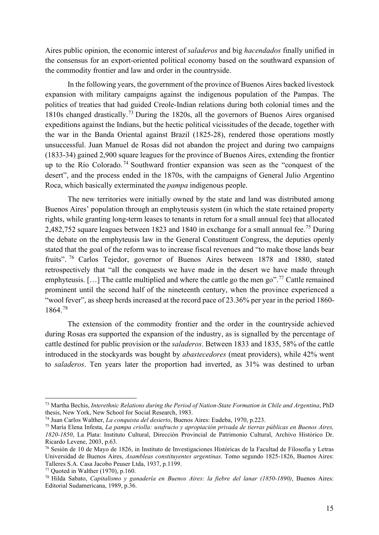Aires public opinion, the economic interest of *saladeros* and big *hacendados* finally unified in the consensus for an export-oriented political economy based on the southward expansion of the commodity frontier and law and order in the countryside.

In the following years, the government of the province of Buenos Aires backed livestock expansion with military campaigns against the indigenous population of the Pampas. The politics of treaties that had guided Creole-Indian relations during both colonial times and the 1810s changed drastically.[73](#page-14-0) During the 1820s, all the governors of Buenos Aires organised expeditions against the Indians, but the hectic political vicissitudes of the decade, together with the war in the Banda Oriental against Brazil (1825-28), rendered those operations mostly unsuccessful. Juan Manuel de Rosas did not abandon the project and during two campaigns (1833-34) gained 2,900 square leagues for the province of Buenos Aires, extending the frontier up to the Río Colorado.<sup>[74](#page-14-1)</sup> Southward frontier expansion was seen as the "conquest of the desert", and the process ended in the 1870s, with the campaigns of General Julio Argentino Roca, which basically exterminated the *pampa* indigenous people.

The new territories were initially owned by the state and land was distributed among Buenos Aires' population through an emphyteusis system (in which the state retained property rights, while granting long-term leases to tenants in return for a small annual fee) that allocated 2,482,[75](#page-14-2)2 square leagues between 1823 and 1840 in exchange for a small annual fee.<sup>75</sup> During the debate on the emphyteusis law in the General Constituent Congress, the deputies openly stated that the goal of the reform was to increase fiscal revenues and "to make those lands bear fruits". [76](#page-14-3) Carlos Tejedor, governor of Buenos Aires between 1878 and 1880, stated retrospectively that "all the conquests we have made in the desert we have made through emphyteusis. [...] The cattle multiplied and where the cattle go the men go".<sup>[77](#page-14-4)</sup> Cattle remained prominent until the second half of the nineteenth century, when the province experienced a "wool fever", as sheep herds increased at the record pace of 23.36% per year in the period 1860-1864.[78](#page-14-5)

The extension of the commodity frontier and the order in the countryside achieved during Rosas era supported the expansion of the industry, as is signalled by the percentage of cattle destined for public provision or the *saladeros*. Between 1833 and 1835, 58% of the cattle introduced in the stockyards was bought by *abastecedores* (meat providers), while 42% went to *saladeros*. Ten years later the proportion had inverted, as 31% was destined to urban

<span id="page-14-0"></span><sup>73</sup> Martha Bechis, *Interethnic Relations during the Period of Nation-State Formation in Chile and Argentina*, PhD thesis, New York, New School for Social Research, 1983.

<span id="page-14-1"></span><sup>74</sup> Juan Carlos Walther, *La conquista del desierto*, Buenos Aires: Eudeba, 1970, p.223.

<span id="page-14-2"></span><sup>75</sup> María Elena Infesta, *La pampa criolla: usufructo y apropiación privada de tierras públicas en Buenos Aires, 1820-1850*, La Plata: Instituto Cultural, Dirección Provincial de Patrimonio Cultural, Archivo Histórico Dr.

<span id="page-14-3"></span> $\frac{76}{5}$  Sesión de 10 de Mayo de 1826, in Instituto de Investigaciones Históricas de la Facultad de Filosofía y Letras Universidad de Buenos Aires, *Asambleas constituyentes argentinas*. Tomo segundo 1825-1826, Buenos Aires: Talleres S.A. Casa Jacobo Peuser Ltda, 1937, p.1199.<br><sup>77</sup> Ouoted in Walther (1970), p.160.

<span id="page-14-5"></span><span id="page-14-4"></span><sup>&</sup>lt;sup>78</sup> Hilda Sabato, *Capitalismo y ganadería en Buenos Aires: la fiebre del lanar (1850-1890)*, Buenos Aires: Editorial Sudamericana, 1989, p.36.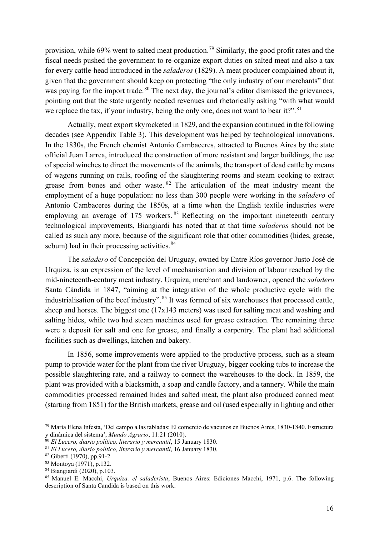provision, while 69% went to salted meat production.<sup>[79](#page-15-0)</sup> Similarly, the good profit rates and the fiscal needs pushed the government to re-organize export duties on salted meat and also a tax for every cattle-head introduced in the *saladeros* (1829). A meat producer complained about it, given that the government should keep on protecting "the only industry of our merchants" that was paying for the import trade.<sup>[80](#page-15-1)</sup> The next day, the journal's editor dismissed the grievances, pointing out that the state urgently needed revenues and rhetorically asking "with what would we replace the tax, if your industry, being the only one, does not want to bear it?".<sup>[81](#page-15-2)</sup>

Actually, meat export skyrocketed in 1829, and the expansion continued in the following decades (see Appendix Table 3). This development was helped by technological innovations. In the 1830s, the French chemist Antonio Cambaceres, attracted to Buenos Aires by the state official Juan Larrea, introduced the construction of more resistant and larger buildings, the use of special winches to direct the movements of the animals, the transport of dead cattle by means of wagons running on rails, roofing of the slaughtering rooms and steam cooking to extract grease from bones and other waste. <sup>[82](#page-15-3)</sup> The articulation of the meat industry meant the employment of a huge population: no less than 300 people were working in the *saladero* of Antonio Cambaceres during the 1850s, at a time when the English textile industries were employing an average of  $175$  workers. <sup>[83](#page-15-4)</sup> Reflecting on the important nineteenth century technological improvements, Biangiardi has noted that at that time *saladeros* should not be called as such any more, because of the significant role that other commodities (hides, grease, sebum) had in their processing activities.<sup>[84](#page-15-5)</sup>

The *saladero* of Concepción del Uruguay, owned by Entre Ríos governor Justo José de Urquiza, is an expression of the level of mechanisation and division of labour reached by the mid-nineteenth-century meat industry. Urquiza, merchant and landowner, opened the *saladero* Santa Càndida in 1847, "aiming at the integration of the whole productive cycle with the industrialisation of the beef industry".<sup>[85](#page-15-6)</sup> It was formed of six warehouses that processed cattle, sheep and horses. The biggest one (17x143 meters) was used for salting meat and washing and salting hides, while two had steam machines used for grease extraction. The remaining three were a deposit for salt and one for grease, and finally a carpentry. The plant had additional facilities such as dwellings, kitchen and bakery.

In 1856, some improvements were applied to the productive process, such as a steam pump to provide water for the plant from the river Uruguay, bigger cooking tubs to increase the possible slaughtering rate, and a railway to connect the warehouses to the dock. In 1859, the plant was provided with a blacksmith, a soap and candle factory, and a tannery. While the main commodities processed remained hides and salted meat, the plant also produced canned meat (starting from 1851) for the British markets, grease and oil (used especially in lighting and other

<span id="page-15-0"></span><sup>79</sup> María Elena Infesta, 'Del campo a las tabladas: El comercio de vacunos en Buenos Aires, 1830-1840. Estructura y dinámica del sistema', *Mundo Agrario*, 11:21 (2010).

<span id="page-15-1"></span><sup>80</sup> *El Lucero, diario político, literario y mercantil*, 15 January 1830.

<span id="page-15-2"></span><sup>81</sup> *El Lucero, diario político, literario y mercantil*, 16 January 1830.

<span id="page-15-3"></span> $82$  Giberti (1970), pp.91-2<br> $83$  Montoya (1971), p.132.

<span id="page-15-6"></span><span id="page-15-5"></span><span id="page-15-4"></span><sup>&</sup>lt;sup>84</sup> Biangiardi (2020), p.103.<br><sup>85</sup> Manuel E. Macchi, *Urquiza, el saladerista*, Buenos Aires: Ediciones Macchi, 1971, p.6. The following description of Santa Candida is based on this work.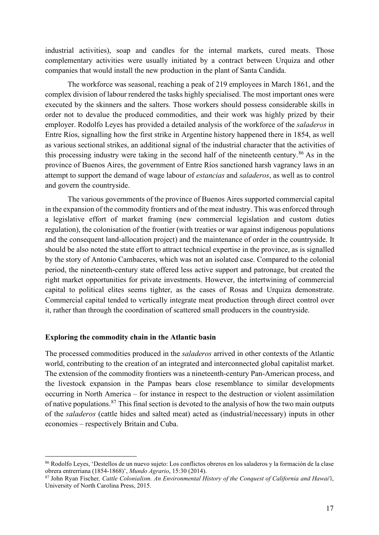industrial activities), soap and candles for the internal markets, cured meats. Those complementary activities were usually initiated by a contract between Urquiza and other companies that would install the new production in the plant of Santa Candida.

The workforce was seasonal, reaching a peak of 219 employees in March 1861, and the complex division of labour rendered the tasks highly specialised. The most important ones were executed by the skinners and the salters. Those workers should possess considerable skills in order not to devalue the produced commodities, and their work was highly prized by their employer. Rodolfo Leyes has provided a detailed analysis of the workforce of the *saladeros* in Entre Ríos, signalling how the first strike in Argentine history happened there in 1854, as well as various sectional strikes, an additional signal of the industrial character that the activities of this processing industry were taking in the second half of the nineteenth century.<sup>[86](#page-16-0)</sup> As in the province of Buenos Aires, the government of Entre Ríos sanctioned harsh vagrancy laws in an attempt to support the demand of wage labour of *estancias* and *saladeros*, as well as to control and govern the countryside.

The various governments of the province of Buenos Aires supported commercial capital in the expansion of the commodity frontiers and of the meat industry. This was enforced through a legislative effort of market framing (new commercial legislation and custom duties regulation), the colonisation of the frontier (with treaties or war against indigenous populations and the consequent land-allocation project) and the maintenance of order in the countryside. It should be also noted the state effort to attract technical expertise in the province, as is signalled by the story of Antonio Cambaceres, which was not an isolated case. Compared to the colonial period, the nineteenth-century state offered less active support and patronage, but created the right market opportunities for private investments. However, the intertwining of commercial capital to political elites seems tighter, as the cases of Rosas and Urquiza demonstrate. Commercial capital tended to vertically integrate meat production through direct control over it, rather than through the coordination of scattered small producers in the countryside.

#### **Exploring the commodity chain in the Atlantic basin**

The processed commodities produced in the *saladeros* arrived in other contexts of the Atlantic world, contributing to the creation of an integrated and interconnected global capitalist market. The extension of the commodity frontiers was a nineteenth-century Pan-American process, and the livestock expansion in the Pampas bears close resemblance to similar developments occurring in North America – for instance in respect to the destruction or violent assimilation of native populations.<sup>[87](#page-16-1)</sup> This final section is devoted to the analysis of how the two main outputs of the *saladeros* (cattle hides and salted meat) acted as (industrial/necessary) inputs in other economies – respectively Britain and Cuba.

<span id="page-16-0"></span><sup>86</sup> Rodolfo Leyes, 'Destellos de un nuevo sujeto: Los conflictos obreros en los saladeros y la formación de la clase obrera entrerriana (1854-1868)', *Mundo Agrario*, 15:30 (2014).

<span id="page-16-1"></span><sup>87</sup> John Ryan Fischer*, Cattle Colonialism. An Environmental History of the Conquest of California and Hawai'i*, University of North Carolina Press, 2015.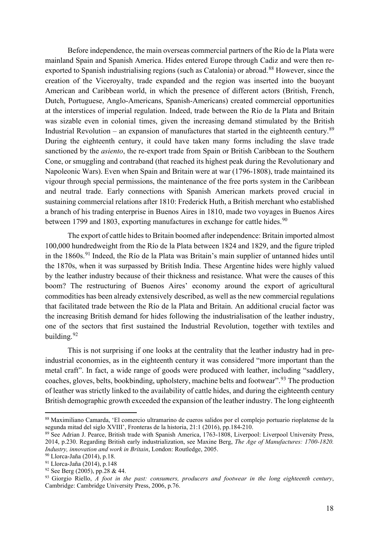Before independence, the main overseas commercial partners of the Río de la Plata were mainland Spain and Spanish America. Hides entered Europe through Cadiz and were then re-exported to Spanish industrialising regions (such as Catalonia) or abroad.<sup>[88](#page-17-0)</sup> However, since the creation of the Viceroyalty, trade expanded and the region was inserted into the buoyant American and Caribbean world, in which the presence of different actors (British, French, Dutch, Portuguese, Anglo-Americans, Spanish-Americans) created commercial opportunities at the interstices of imperial regulation. Indeed, trade between the Río de la Plata and Britain was sizable even in colonial times, given the increasing demand stimulated by the British Industrial Revolution – an expansion of manufactures that started in the eighteenth century.<sup>[89](#page-17-1)</sup> During the eighteenth century, it could have taken many forms including the slave trade sanctioned by the *asiento*, the re-export trade from Spain or British Caribbean to the Southern Cone, or smuggling and contraband (that reached its highest peak during the Revolutionary and Napoleonic Wars). Even when Spain and Britain were at war (1796-1808), trade maintained its vigour through special permissions, the maintenance of the free ports system in the Caribbean and neutral trade. Early connections with Spanish American markets proved crucial in sustaining commercial relations after 1810: Frederick Huth, a British merchant who established a branch of his trading enterprise in Buenos Aires in 1810, made two voyages in Buenos Aires between 1799 and 1803, exporting manufactures in exchange for cattle hides.<sup>[90](#page-17-2)</sup>

The export of cattle hides to Britain boomed after independence: Britain imported almost 100,000 hundredweight from the Río de la Plata between 1824 and 1829, and the figure tripled in the 1860s.<sup>[91](#page-17-3)</sup> Indeed, the Río de la Plata was Britain's main supplier of untanned hides until the 1870s, when it was surpassed by British India. These Argentine hides were highly valued by the leather industry because of their thickness and resistance. What were the causes of this boom? The restructuring of Buenos Aires' economy around the export of agricultural commodities has been already extensively described, as well as the new commercial regulations that facilitated trade between the Río de la Plata and Britain. An additional crucial factor was the increasing British demand for hides following the industrialisation of the leather industry, one of the sectors that first sustained the Industrial Revolution, together with textiles and building.<sup>[92](#page-17-4)</sup>

This is not surprising if one looks at the centrality that the leather industry had in preindustrial economies, as in the eighteenth century it was considered "more important than the metal craft". In fact, a wide range of goods were produced with leather, including "saddlery, coaches, gloves, belts, bookbinding, upholstery, machine belts and footwear".<sup>[93](#page-17-5)</sup> The production of leather was strictly linked to the availability of cattle hides, and during the eighteenth century British demographic growth exceeded the expansion of the leather industry. The long eighteenth

<span id="page-17-0"></span><sup>88</sup> Maximiliano Camarda, 'El comercio ultramarino de cueros salidos por el complejo portuario rioplatense de la segunda mitad del siglo XVIII', Fronteras de la historia, 21:1 (2016), pp.184-210.

<span id="page-17-1"></span><sup>&</sup>lt;sup>89</sup> See Adrian J. Pearce, British trade with Spanish America, 1763-1808, Liverpool: Liverpool University Press, 2014, p.230. Regarding British early industrialization, see Maxine Berg, *The Age of Manufactures: 1700-1820. Industry, innovation and work in Britain*, London: Routledge, 2005.

<span id="page-17-4"></span><span id="page-17-3"></span><span id="page-17-2"></span><sup>&</sup>lt;sup>91</sup> Llorca-Jaña (2014), p.148<br><sup>92</sup> See Berg (2005), pp.28 & 44.

<span id="page-17-5"></span><sup>&</sup>lt;sup>93</sup> Giorgio Riello, *A foot in the past: consumers, producers and footwear in the long eighteenth century*, Cambridge: Cambridge University Press, 2006, p.76.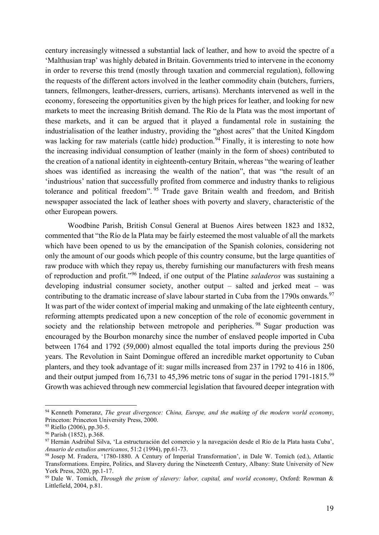century increasingly witnessed a substantial lack of leather, and how to avoid the spectre of a 'Malthusian trap' was highly debated in Britain. Governments tried to intervene in the economy in order to reverse this trend (mostly through taxation and commercial regulation), following the requests of the different actors involved in the leather commodity chain (butchers, furriers, tanners, fellmongers, leather-dressers, curriers, artisans). Merchants intervened as well in the economy, foreseeing the opportunities given by the high prices for leather, and looking for new markets to meet the increasing British demand. The Río de la Plata was the most important of these markets, and it can be argued that it played a fundamental role in sustaining the industrialisation of the leather industry, providing the "ghost acres" that the United Kingdom was lacking for raw materials (cattle hide) production.<sup>[94](#page-18-0)</sup> Finally, it is interesting to note how the increasing individual consumption of leather (mainly in the form of shoes) contributed to the creation of a national identity in eighteenth-century Britain, whereas "the wearing of leather shoes was identified as increasing the wealth of the nation", that was "the result of an 'industrious' nation that successfully profited from commerce and industry thanks to religious tolerance and political freedom". [95](#page-18-1) Trade gave Britain wealth and freedom, and British newspaper associated the lack of leather shoes with poverty and slavery, characteristic of the other European powers.

Woodbine Parish, British Consul General at Buenos Aires between 1823 and 1832, commented that "the Río de la Plata may be fairly esteemed the most valuable of all the markets which have been opened to us by the emancipation of the Spanish colonies, considering not only the amount of our goods which people of this country consume, but the large quantities of raw produce with which they repay us, thereby furnishing our manufacturers with fresh means of reproduction and profit."[96](#page-18-2) Indeed, if one output of the Platine *saladeros* was sustaining a developing industrial consumer society, another output – salted and jerked meat – was contributing to the dramatic increase of slave labour started in Cuba from the 1790s onwards.<sup>[97](#page-18-3)</sup> It was part of the wider context of imperial making and unmaking of the late eighteenth century, reforming attempts predicated upon a new conception of the role of economic government in society and the relationship between metropole and peripheries.<sup>[98](#page-18-4)</sup> Sugar production was encouraged by the Bourbon monarchy since the number of enslaved people imported in Cuba between 1764 and 1792 (59,000) almost equalled the total imports during the previous 250 years. The Revolution in Saint Domingue offered an incredible market opportunity to Cuban planters, and they took advantage of it: sugar mills increased from 237 in 1792 to 416 in 1806, and their output jumped from 16,731 to 45,396 metric tons of sugar in the period 1791-1815.<sup>[99](#page-18-5)</sup> Growth was achieved through new commercial legislation that favoured deeper integration with

<span id="page-18-0"></span><sup>94</sup> Kenneth Pomeranz, *The great divergence: China, Europe, and the making of the modern world economy*, Princeton: Princeton University Press, 2000.<br><sup>95</sup> Riello (2006), pp.30-5.

<span id="page-18-2"></span><span id="page-18-1"></span> $96$  Parish (1852), p.368.

<span id="page-18-3"></span><sup>97</sup> Hernán Asdrúbal Silva, 'La estructuración del comercio y la navegación desde el Río de la Plata hasta Cuba', *Anuario de estudios americanos*, 51:2 (1994), pp.61-73.

<span id="page-18-4"></span><sup>98</sup> Josep M. Fradera, '1780-1880. A Century of Imperial Transformation', in Dale W. Tomich (ed.), Atlantic Transformations. Empire, Politics, and Slavery during the Nineteenth Century, Albany: State University of New

<span id="page-18-5"></span><sup>&</sup>lt;sup>99</sup> Dale W. Tomich, *Through the prism of slavery: labor, capital, and world economy*, Oxford: Rowman & Littlefield, 2004, p.81.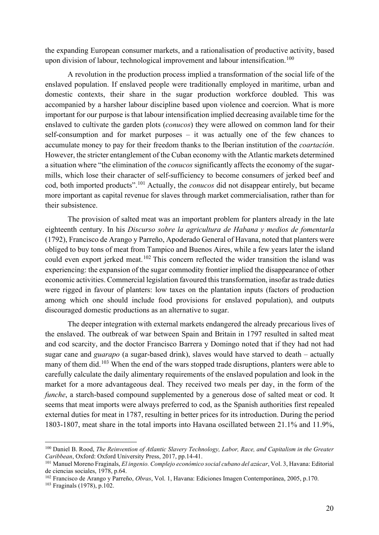the expanding European consumer markets, and a rationalisation of productive activity, based upon division of labour, technological improvement and labour intensification.<sup>[100](#page-19-0)</sup>

A revolution in the production process implied a transformation of the social life of the enslaved population. If enslaved people were traditionally employed in maritime, urban and domestic contexts, their share in the sugar production workforce doubled. This was accompanied by a harsher labour discipline based upon violence and coercion. What is more important for our purpose is that labour intensification implied decreasing available time for the enslaved to cultivate the garden plots (*conucos*) they were allowed on common land for their self-consumption and for market purposes – it was actually one of the few chances to accumulate money to pay for their freedom thanks to the Iberian institution of the *coartación*. However, the stricter entanglement of the Cuban economy with the Atlantic markets determined a situation where "the elimination of the *conucos* significantly affects the economy of the sugarmills, which lose their character of self-sufficiency to become consumers of jerked beef and cod, both imported products".[101](#page-19-1) Actually, the *conucos* did not disappear entirely, but became more important as capital revenue for slaves through market commercialisation, rather than for their subsistence.

The provision of salted meat was an important problem for planters already in the late eighteenth century. In his *Discurso sobre la agricultura de Habana y medios de fomentarla*  (1792), Francisco de Arango y Parreño, Apoderado General of Havana, noted that planters were obliged to buy tons of meat from Tampico and Buenos Aires, while a few years later the island could even export jerked meat.<sup>[102](#page-19-2)</sup> This concern reflected the wider transition the island was experiencing: the expansion of the sugar commodity frontier implied the disappearance of other economic activities. Commercial legislation favoured this transformation, insofar as trade duties were rigged in favour of planters: low taxes on the plantation inputs (factors of production among which one should include food provisions for enslaved population), and outputs discouraged domestic productions as an alternative to sugar.

The deeper integration with external markets endangered the already precarious lives of the enslaved. The outbreak of war between Spain and Britain in 1797 resulted in salted meat and cod scarcity, and the doctor Francisco Barrera y Domingo noted that if they had not had sugar cane and *guarapo* (a sugar-based drink), slaves would have starved to death – actually many of them did.<sup>[103](#page-19-3)</sup> When the end of the wars stopped trade disruptions, planters were able to carefully calculate the daily alimentary requirements of the enslaved population and look in the market for a more advantageous deal. They received two meals per day, in the form of the *funche*, a starch-based compound supplemented by a generous dose of salted meat or cod. It seems that meat imports were always preferred to cod, as the Spanish authorities first repealed external duties for meat in 1787, resulting in better prices for its introduction. During the period 1803-1807, meat share in the total imports into Havana oscillated between 21.1% and 11.9%,

<span id="page-19-0"></span><sup>100</sup> Daniel B. Rood, *The Reinvention of Atlantic Slavery Technology, Labor, Race, and Capitalism in the Greater*

<span id="page-19-1"></span><sup>&</sup>lt;sup>101</sup> Manuel Moreno Fraginals, *El ingenio. Complejo económico social cubano del azúcar*, Vol. 3, Havana: Editorial de ciencias sociales, 1978, p.64.

<span id="page-19-3"></span><span id="page-19-2"></span><sup>&</sup>lt;sup>102</sup> Francisco de Arango y Parreño, *Obras*, Vol. 1, Havana: Ediciones Imagen Contemporánea, 2005, p.170.<br><sup>103</sup> Fraginals (1978), p.102.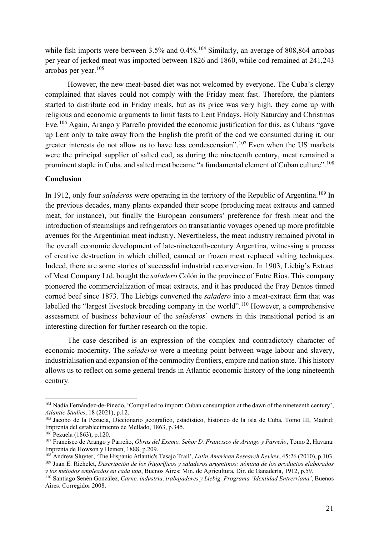while fish imports were between  $3.5\%$  and  $0.4\%$ .<sup>[104](#page-20-0)</sup> Similarly, an average of 808,864 arrobas per year of jerked meat was imported between 1826 and 1860, while cod remained at 241,243 arrobas per year. $105$ 

However, the new meat-based diet was not welcomed by everyone. The Cuba's clergy complained that slaves could not comply with the Friday meat fast. Therefore, the planters started to distribute cod in Friday meals, but as its price was very high, they came up with religious and economic arguments to limit fasts to Lent Fridays, Holy Saturday and Christmas Eve.[106](#page-20-2) Again, Arango y Parreño provided the economic justification for this, as Cubans "gave up Lent only to take away from the English the profit of the cod we consumed during it, our greater interests do not allow us to have less condescension".<sup>[107](#page-20-3)</sup> Even when the US markets were the principal supplier of salted cod, as during the nineteenth century, meat remained a prominent staple in Cuba, and salted meat became "a fundamental element of Cuban culture".<sup>[108](#page-20-4)</sup>

#### **Conclusion**

In 1912, only four *saladeros* were operating in the territory of the Republic of Argentina.<sup>[109](#page-20-5)</sup> In the previous decades, many plants expanded their scope (producing meat extracts and canned meat, for instance), but finally the European consumers' preference for fresh meat and the introduction of steamships and refrigerators on transatlantic voyages opened up more profitable avenues for the Argentinian meat industry. Nevertheless, the meat industry remained pivotal in the overall economic development of late-nineteenth-century Argentina, witnessing a process of creative destruction in which chilled, canned or frozen meat replaced salting techniques. Indeed, there are some stories of successful industrial reconversion. In 1903, Liebig's Extract of Meat Company Ltd. bought the *saladero* Colón in the province of Entre Ríos. This company pioneered the commercialization of meat extracts, and it has produced the Fray Bentos tinned corned beef since 1873. The Liebigs converted the *saladero* into a meat-extract firm that was labelled the "largest livestock breeding company in the world".<sup>[110](#page-20-6)</sup> However, a comprehensive assessment of business behaviour of the *saladeros*' owners in this transitional period is an interesting direction for further research on the topic.

The case described is an expression of the complex and contradictory character of economic modernity. The *saladeros* were a meeting point between wage labour and slavery, industrialisation and expansion of the commodity frontiers, empire and nation state. This history allows us to reflect on some general trends in Atlantic economic history of the long nineteenth century.

<span id="page-20-0"></span><sup>104</sup> Nadia Fernández-de-Pinedo, 'Compelled to import: Cuban consumption at the dawn of the nineteenth century', *Atlantic Studies*, 18 (2021), p.12.

<span id="page-20-1"></span><sup>105</sup> Jacobo de la Pezuela, Diccionario geográfico, estadístico, histórico de la isla de Cuba, Tomo III, Madrid: Imprenta del establecimiento de Mellado, 1863, p.345.

<span id="page-20-2"></span>

<span id="page-20-3"></span><sup>&</sup>lt;sup>107</sup> Francisco de Arango y Parreño, Obras del Excmo. Señor D. Francisco de Arango y Parreño, Tomo 2, Havana: Imprenta de Howson y Heinen, 1888, p.209.<br><sup>108</sup> Andrew Sluyter, 'The Hispanic Atlantic's Tasajo Trail', *Latin American Research Review*, 45:26 (2010), p.103.

<span id="page-20-5"></span><span id="page-20-4"></span><sup>&</sup>lt;sup>109</sup> Juan E. Richelet, Descripción de los frigoríficos y saladeros argentinos: nómina de los productos elaborados *y los métodos empleados en cada una*, Buenos Aires: Min. de Agricultura, Dir. de Ganadería, 1912, p.59.

<span id="page-20-6"></span><sup>110</sup> Santiago Senén González, *Carne, industria, trabajadores y Liebig. Programa 'Identidad Entrerriana'*, Buenos Aires: Corregidor 2008.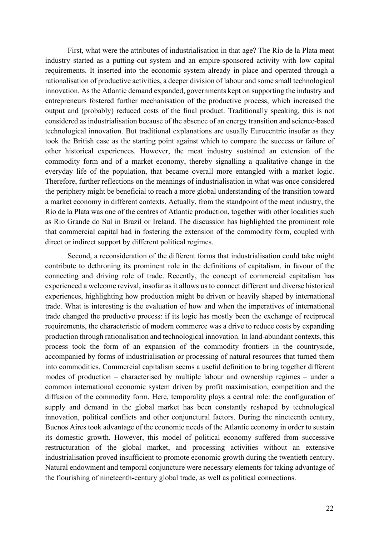First, what were the attributes of industrialisation in that age? The Río de la Plata meat industry started as a putting-out system and an empire-sponsored activity with low capital requirements. It inserted into the economic system already in place and operated through a rationalisation of productive activities, a deeper division of labour and some small technological innovation. As the Atlantic demand expanded, governments kept on supporting the industry and entrepreneurs fostered further mechanisation of the productive process, which increased the output and (probably) reduced costs of the final product. Traditionally speaking, this is not considered as industrialisation because of the absence of an energy transition and science-based technological innovation. But traditional explanations are usually Eurocentric insofar as they took the British case as the starting point against which to compare the success or failure of other historical experiences. However, the meat industry sustained an extension of the commodity form and of a market economy, thereby signalling a qualitative change in the everyday life of the population, that became overall more entangled with a market logic. Therefore, further reflections on the meanings of industrialisation in what was once considered the periphery might be beneficial to reach a more global understanding of the transition toward a market economy in different contexts. Actually, from the standpoint of the meat industry, the Río de la Plata was one of the centres of Atlantic production, together with other localities such as Rio Grande do Sul in Brazil or Ireland. The discussion has highlighted the prominent role that commercial capital had in fostering the extension of the commodity form, coupled with direct or indirect support by different political regimes.

Second, a reconsideration of the different forms that industrialisation could take might contribute to dethroning its prominent role in the definitions of capitalism, in favour of the connecting and driving role of trade. Recently, the concept of commercial capitalism has experienced a welcome revival, insofar as it allows us to connect different and diverse historical experiences, highlighting how production might be driven or heavily shaped by international trade. What is interesting is the evaluation of how and when the imperatives of international trade changed the productive process: if its logic has mostly been the exchange of reciprocal requirements, the characteristic of modern commerce was a drive to reduce costs by expanding production through rationalisation and technological innovation. In land-abundant contexts, this process took the form of an expansion of the commodity frontiers in the countryside, accompanied by forms of industrialisation or processing of natural resources that turned them into commodities. Commercial capitalism seems a useful definition to bring together different modes of production – characterised by multiple labour and ownership regimes – under a common international economic system driven by profit maximisation, competition and the diffusion of the commodity form. Here, temporality plays a central role: the configuration of supply and demand in the global market has been constantly reshaped by technological innovation, political conflicts and other conjunctural factors. During the nineteenth century, Buenos Aires took advantage of the economic needs of the Atlantic economy in order to sustain its domestic growth. However, this model of political economy suffered from successive restructuration of the global market, and processing activities without an extensive industrialisation proved insufficient to promote economic growth during the twentieth century. Natural endowment and temporal conjuncture were necessary elements for taking advantage of the flourishing of nineteenth-century global trade, as well as political connections.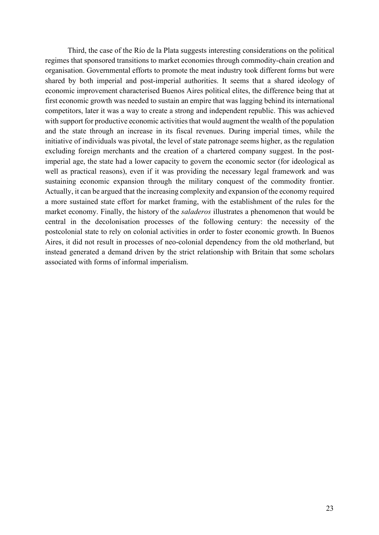Third, the case of the Río de la Plata suggests interesting considerations on the political regimes that sponsored transitions to market economies through commodity-chain creation and organisation. Governmental efforts to promote the meat industry took different forms but were shared by both imperial and post-imperial authorities. It seems that a shared ideology of economic improvement characterised Buenos Aires political elites, the difference being that at first economic growth was needed to sustain an empire that was lagging behind its international competitors, later it was a way to create a strong and independent republic. This was achieved with support for productive economic activities that would augment the wealth of the population and the state through an increase in its fiscal revenues. During imperial times, while the initiative of individuals was pivotal, the level of state patronage seems higher, as the regulation excluding foreign merchants and the creation of a chartered company suggest. In the postimperial age, the state had a lower capacity to govern the economic sector (for ideological as well as practical reasons), even if it was providing the necessary legal framework and was sustaining economic expansion through the military conquest of the commodity frontier. Actually, it can be argued that the increasing complexity and expansion of the economy required a more sustained state effort for market framing, with the establishment of the rules for the market economy. Finally, the history of the *saladeros* illustrates a phenomenon that would be central in the decolonisation processes of the following century: the necessity of the postcolonial state to rely on colonial activities in order to foster economic growth. In Buenos Aires, it did not result in processes of neo-colonial dependency from the old motherland, but instead generated a demand driven by the strict relationship with Britain that some scholars associated with forms of informal imperialism.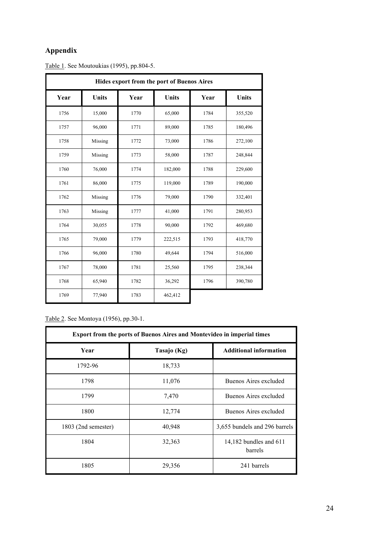### **Appendix**

| Hides export from the port of Buenos Aires |              |      |              |      |              |  |
|--------------------------------------------|--------------|------|--------------|------|--------------|--|
| Year                                       | <b>Units</b> | Year | <b>Units</b> | Year | <b>Units</b> |  |
| 1756                                       | 15,000       | 1770 | 65,000       | 1784 | 355,520      |  |
| 1757                                       | 96,000       | 1771 | 89,000       | 1785 | 180,496      |  |
| 1758                                       | Missing      | 1772 | 73,000       | 1786 | 272,100      |  |
| 1759                                       | Missing      | 1773 | 58,000       | 1787 | 248,844      |  |
| 1760                                       | 76,000       | 1774 | 182,000      | 1788 | 229,600      |  |
| 1761                                       | 86,000       | 1775 | 119,000      | 1789 | 190,000      |  |
| 1762                                       | Missing      | 1776 | 79,000       | 1790 | 332,401      |  |
| 1763                                       | Missing      | 1777 | 41,000       | 1791 | 280,953      |  |
| 1764                                       | 30,055       | 1778 | 90,000       | 1792 | 469,680      |  |
| 1765                                       | 79,000       | 1779 | 222,515      | 1793 | 418,770      |  |
| 1766                                       | 96,000       | 1780 | 49,644       | 1794 | 516,000      |  |
| 1767                                       | 78,000       | 1781 | 25,560       | 1795 | 238,344      |  |
| 1768                                       | 65,940       | 1782 | 36,292       | 1796 | 390,780      |  |
| 1769                                       | 77,940       | 1783 | 462,412      |      |              |  |

Table 1. See Moutoukias (1995), pp.804-5.

Table 2. See Montoya (1956), pp.30-1.

| <b>Export from the ports of Buenos Aires and Montevideo in imperial times</b> |             |                                     |  |  |
|-------------------------------------------------------------------------------|-------------|-------------------------------------|--|--|
| Year                                                                          | Tasajo (Kg) | <b>Additional information</b>       |  |  |
| 1792-96                                                                       | 18,733      |                                     |  |  |
| 1798                                                                          | 11,076      | Buenos Aires excluded               |  |  |
| 1799                                                                          | 7,470       | Buenos Aires excluded               |  |  |
| 1800                                                                          | 12,774      | Buenos Aires excluded               |  |  |
| 1803 (2nd semester)                                                           | 40,948      | 3,655 bundels and 296 barrels       |  |  |
| 1804                                                                          | 32,363      | 14,182 bundles and $611$<br>barrels |  |  |
| 1805                                                                          | 29,356      | 241 barrels                         |  |  |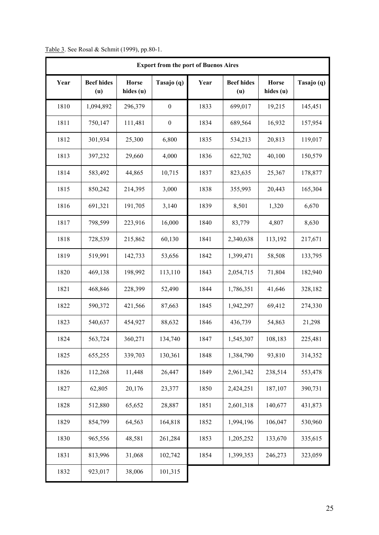| Table 3. See Rosal & Schmit (1999), pp.80-1. |  |  |  |  |
|----------------------------------------------|--|--|--|--|
|----------------------------------------------|--|--|--|--|

| <b>Export from the port of Buenos Aires</b> |                          |                           |                  |      |                          |                           |            |
|---------------------------------------------|--------------------------|---------------------------|------------------|------|--------------------------|---------------------------|------------|
| Year                                        | <b>Beef hides</b><br>(u) | <b>Horse</b><br>hides (u) | Tasajo (q)       | Year | <b>Beef hides</b><br>(u) | <b>Horse</b><br>hides (u) | Tasajo (q) |
| 1810                                        | 1,094,892                | 296,379                   | $\boldsymbol{0}$ | 1833 | 699,017                  | 19,215                    | 145,451    |
| 1811                                        | 750,147                  | 111,481                   | $\boldsymbol{0}$ | 1834 | 689,564                  | 16,932                    | 157,954    |
| 1812                                        | 301,934                  | 25,300                    | 6,800            | 1835 | 534,213                  | 20,813                    | 119,017    |
| 1813                                        | 397,232                  | 29,660                    | 4,000            | 1836 | 622,702                  | 40,100                    | 150,579    |
| 1814                                        | 583,492                  | 44,865                    | 10,715           | 1837 | 823,635                  | 25,367                    | 178,877    |
| 1815                                        | 850,242                  | 214,395                   | 3,000            | 1838 | 355,993                  | 20,443                    | 165,304    |
| 1816                                        | 691,321                  | 191,705                   | 3,140            | 1839 | 8,501                    | 1,320                     | 6,670      |
| 1817                                        | 798,599                  | 223,916                   | 16,000           | 1840 | 83,779                   | 4,807                     | 8,630      |
| 1818                                        | 728,539                  | 215,862                   | 60,130           | 1841 | 2,340,638                | 113,192                   | 217,671    |
| 1819                                        | 519,991                  | 142,733                   | 53,656           | 1842 | 1,399,471                | 58,508                    | 133,795    |
| 1820                                        | 469,138                  | 198,992                   | 113,110          | 1843 | 2,054,715                | 71,804                    | 182,940    |
| 1821                                        | 468,846                  | 228,399                   | 52,490           | 1844 | 1,786,351                | 41,646                    | 328,182    |
| 1822                                        | 590,372                  | 421,566                   | 87,663           | 1845 | 1,942,297                | 69,412                    | 274,330    |
| 1823                                        | 540,637                  | 454,927                   | 88,632           | 1846 | 436,739                  | 54,863                    | 21,298     |
| 1824                                        | 563,724                  | 360,271                   | 134,740          | 1847 | 1,545,307                | 108,183                   | 225,481    |
| 1825                                        | 655,255                  | 339,703                   | 130,361          | 1848 | 1,384,790                | 93,810                    | 314,352    |
| 1826                                        | 112,268                  | 11,448                    | 26,447           | 1849 | 2,961,342                | 238,514                   | 553,478    |
| 1827                                        | 62,805                   | 20,176                    | 23,377           | 1850 | 2,424,251                | 187,107                   | 390,731    |
| 1828                                        | 512,880                  | 65,652                    | 28,887           | 1851 | 2,601,318                | 140,677                   | 431,873    |
| 1829                                        | 854,799                  | 64,563                    | 164,818          | 1852 | 1,994,196                | 106,047                   | 530,960    |
| 1830                                        | 965,556                  | 48,581                    | 261,284          | 1853 | 1,205,252                | 133,670                   | 335,615    |
| 1831                                        | 813,996                  | 31,068                    | 102,742          | 1854 | 1,399,353                | 246,273                   | 323,059    |
| 1832                                        | 923,017                  | 38,006                    | 101,315          |      |                          |                           |            |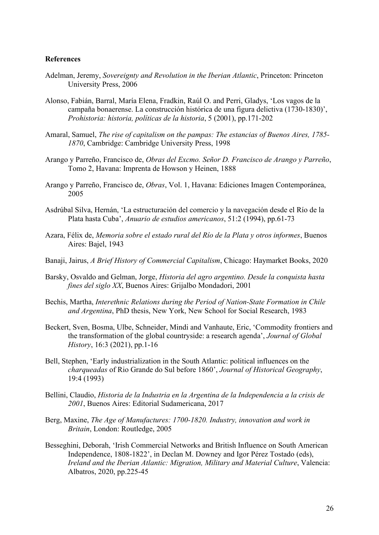#### **References**

- Adelman, Jeremy, *Sovereignty and Revolution in the Iberian Atlantic*, Princeton: Princeton University Press, 2006
- Alonso, Fabián, Barral, María Elena, Fradkin, Raúl O. and Perri, Gladys, 'Los vagos de la campaña bonaerense. La construcción histórica de una figura delictiva (1730-1830)', *Prohistoria: historia, políticas de la historia*, 5 (2001), pp.171-202
- Amaral, Samuel, *The rise of capitalism on the pampas: The estancias of Buenos Aires, 1785- 1870*, Cambridge: Cambridge University Press, 1998
- Arango y Parreño, Francisco de, *Obras del Excmo. Señor D. Francisco de Arango y Parreño*, Tomo 2, Havana: Imprenta de Howson y Heinen, 1888
- Arango y Parreño, Francisco de, *Obras*, Vol. 1, Havana: Ediciones Imagen Contemporánea, 2005
- Asdrúbal Silva, Hernán, 'La estructuración del comercio y la navegación desde el Río de la Plata hasta Cuba', *Anuario de estudios americanos*, 51:2 (1994), pp.61-73
- Azara, Félix de, *Memoria sobre el estado rural del Río de la Plata y otros informes*, Buenos Aires: Bajel, 1943
- Banaji, Jairus, *A Brief History of Commercial Capitalism*, Chicago: Haymarket Books, 2020
- Barsky, Osvaldo and Gelman, Jorge, *Historia del agro argentino. Desde la conquista hasta fines del siglo XX*, Buenos Aires: Grijalbo Mondadori, 2001
- Bechis, Martha, *Interethnic Relations during the Period of Nation-State Formation in Chile and Argentina*, PhD thesis, New York, New School for Social Research, 1983
- Beckert, Sven, Bosma, Ulbe, Schneider, Mindi and Vanhaute, Eric, 'Commodity frontiers and the transformation of the global countryside: a research agenda', *Journal of Global History*, 16:3 (2021), pp.1-16
- Bell, Stephen, 'Early industrialization in the South Atlantic: political influences on the *charqueadas* of Rio Grande do Sul before 1860', *Journal of Historical Geography*, 19:4 (1993)
- Bellini, Claudio, *Historia de la Industria en la Argentina de la Independencia a la crisis de 2001*, Buenos Aires: Editorial Sudamericana, 2017
- Berg, Maxine, *The Age of Manufactures: 1700-1820. Industry, innovation and work in Britain*, London: Routledge, 2005
- Besseghini, Deborah, 'Irish Commercial Networks and British Influence on South American Independence, 1808-1822', in Declan M. Downey and Igor Pérez Tostado (eds), *Ireland and the Iberian Atlantic: Migration, Military and Material Culture*, Valencia: Albatros, 2020, pp.225-45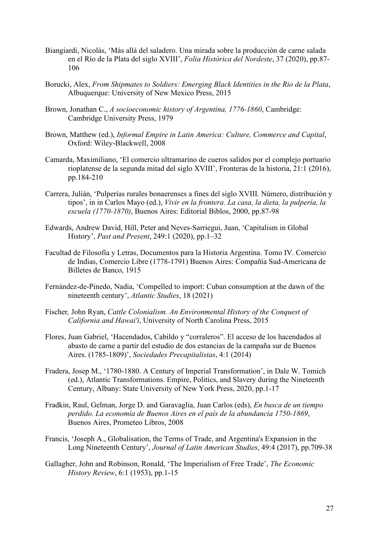- Biangiardi, Nicolás, 'Más allá del saladero. Una mirada sobre la producción de carne salada en el Río de la Plata del siglo XVIII', *Folia Histórica del Nordeste*, 37 (2020), pp.87- 106
- Borucki, Alex, *From Shipmates to Soldiers: Emerging Black Identities in the Rio de la Plata*, Albuquerque: University of New Mexico Press, 2015
- Brown, Jonathan C., *A socioeconomic history of Argentina, 1776-1860*, Cambridge: Cambridge University Press, 1979
- Brown, Matthew (ed.), *Informal Empire in Latin America: Culture, Commerce and Capital*, Oxford: Wiley-Blackwell, 2008
- Camarda, Maximiliano, 'El comercio ultramarino de cueros salidos por el complejo portuario rioplatense de la segunda mitad del siglo XVIII', Fronteras de la historia, 21:1 (2016), pp.184-210
- Carrera, Juliàn, 'Pulperías rurales bonaerenses a fines del siglo XVIII. Número, distribución y tipos', in in Carlos Mayo (ed.), *Vivir en la frontera. La casa, la dieta, la pulpería, la escuela (1770-1870)*, Buenos Aires: Editorial Biblos, 2000, pp.87-98
- Edwards, Andrew David, Hill, Peter and Neves-Sarriegui, Juan, 'Capitalism in Global History', *Past and Present*, 249:1 (2020), pp.1–32
- Facultad de Filosofía y Letras, Documentos para la Historia Argentina. Tomo IV. Comercio de Indias, Comercio Libre (1778-1791) Buenos Aires: Compañía Sud-Americana de Billetes de Banco, 1915
- Fernández-de-Pinedo, Nadia, 'Compelled to import: Cuban consumption at the dawn of the nineteenth century', *Atlantic Studies*, 18 (2021)
- Fischer*,* John Ryan, *Cattle Colonialism. An Environmental History of the Conquest of California and Hawai'i*, University of North Carolina Press, 2015
- Flores, Juan Gabriel, 'Hacendados, Cabildo y "corraleros". El acceso de los hacendados al abasto de carne a partir del estudio de dos estancias de la campaña sur de Buenos Aires. (1785-1809)', *Sociedades Precapitalistas*, 4:1 (2014)
- Fradera, Josep M., '1780-1880. A Century of Imperial Transformation', in Dale W. Tomich (ed.), Atlantic Transformations. Empire, Politics, and Slavery during the Nineteenth Century, Albany: State University of New York Press, 2020, pp.1-17
- Fradkin, Raul, Gelman, Jorge D. and Garavaglia, Juan Carlos (eds), *En busca de un tiempo perdido. La economía de Buenos Aires en el país de la abundancia 1750-1869*, Buenos Aires, Prometeo Libros, 2008
- Francis, 'Joseph A., Globalisation, the Terms of Trade, and Argentina's Expansion in the Long Nineteenth Century', *Journal of Latin American Studies*, 49:4 (2017), pp.709-38
- Gallagher, John and Robinson, Ronald, 'The Imperialism of Free Trade', *The Economic History Review*, 6:1 (1953), pp.1-15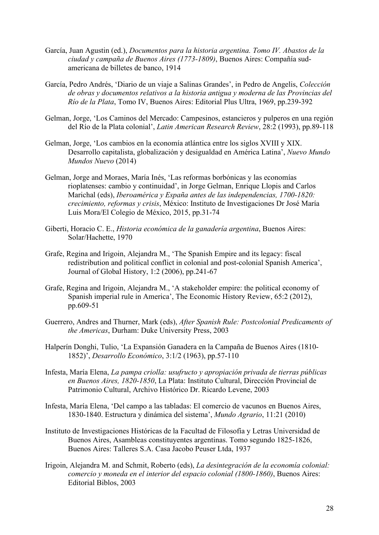- García, Juan Agustin (ed.), *Documentos para la historia argentina. Tomo IV. Abastos de la ciudad y campaña de Buenos Aires (1773-1809)*, Buenos Aires: Compañía sudamericana de billetes de banco, 1914
- García, Pedro Andrés, 'Diario de un viaje a Salinas Grandes', in Pedro de Angelis, *Colección de obras y documentos relativos a la historia antigua y moderna de las Provincias del Río de la Plata*, Tomo IV, Buenos Aires: Editorial Plus Ultra, 1969, pp.239-392
- Gelman, Jorge, 'Los Caminos del Mercado: Campesinos, estancieros y pulperos en una región del Río de la Plata colonial', *Latin American Research Review*, 28:2 (1993), pp.89-118
- Gelman, Jorge, 'Los cambios en la economía atlántica entre los siglos XVIII y XIX. Desarrollo capitalista, globalización y desigualdad en América Latina', *Nuevo Mundo Mundos Nuevo* (2014)
- Gelman, Jorge and Moraes, María Inés, 'Las reformas borbónicas y las economías rioplatenses: cambio y continuidad', in Jorge Gelman, Enrique Llopis and Carlos Marichal (eds), *Iberoamérica y España antes de las independencias, 1700-1820: crecimiento, reformas y crisis*, México: Instituto de Investigaciones Dr José María Luis Mora/El Colegio de México, 2015, pp.31-74
- Giberti, Horacio C. E., *Historia económica de la ganadería argentina*, Buenos Aires: Solar/Hachette, 1970
- Grafe, Regina and Irigoin, Alejandra M., 'The Spanish Empire and its legacy: fiscal redistribution and political conflict in colonial and post-colonial Spanish America', Journal of Global History, 1:2 (2006), pp.241-67
- Grafe, Regina and Irigoin, Alejandra M., 'A stakeholder empire: the political economy of Spanish imperial rule in America', The Economic History Review, 65:2 (2012), pp.609-51
- Guerrero, Andres and Thurner, Mark (eds), *After Spanish Rule: Postcolonial Predicaments of the Americas*, Durham: Duke University Press, 2003
- Halperín Donghi, Tulio, 'La Expansión Ganadera en la Campaña de Buenos Aires (1810- 1852)', *Desarrollo Económico*, 3:1/2 (1963), pp.57-110
- Infesta, María Elena, *La pampa criolla: usufructo y apropiación privada de tierras públicas en Buenos Aires, 1820-1850*, La Plata: Instituto Cultural, Dirección Provincial de Patrimonio Cultural, Archivo Histórico Dr. Ricardo Levene, 2003
- Infesta, María Elena, 'Del campo a las tabladas: El comercio de vacunos en Buenos Aires, 1830-1840. Estructura y dinámica del sistema', *Mundo Agrario*, 11:21 (2010)
- Instituto de Investigaciones Históricas de la Facultad de Filosofía y Letras Universidad de Buenos Aires, Asambleas constituyentes argentinas. Tomo segundo 1825-1826, Buenos Aires: Talleres S.A. Casa Jacobo Peuser Ltda, 1937
- Irigoin, Alejandra M. and Schmit, Roberto (eds), *La desintegración de la economía colonial: comercio y moneda en el interior del espacio colonial (1800-1860)*, Buenos Aires: Editorial Biblos, 2003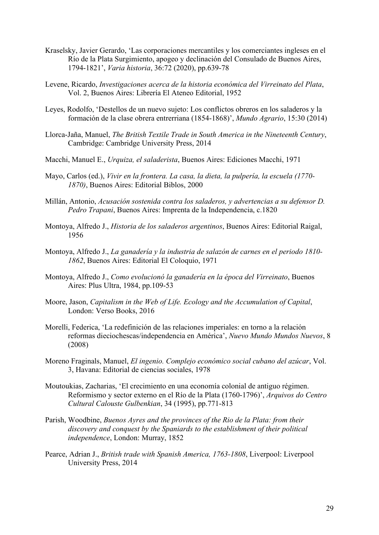- Kraselsky, Javier Gerardo, 'Las corporaciones mercantiles y los comerciantes ingleses en el Río de la Plata Surgimiento, apogeo y declinación del Consulado de Buenos Aires, 1794-1821', *Varia historia*, 36:72 (2020), pp.639-78
- Levene, Ricardo, *Investigaciones acerca de la historia económica del Virreinato del Plata*, Vol. 2, Buenos Aires: Librería El Ateneo Editorial, 1952
- Leyes, Rodolfo, 'Destellos de un nuevo sujeto: Los conflictos obreros en los saladeros y la formación de la clase obrera entrerriana (1854-1868)', *Mundo Agrario*, 15:30 (2014)
- Llorca-Jaña, Manuel, *The British Textile Trade in South America in the Nineteenth Century*, Cambridge: Cambridge University Press, 2014
- Macchi, Manuel E., *Urquiza, el saladerista*, Buenos Aires: Ediciones Macchi, 1971
- Mayo, Carlos (ed.), *Vivir en la frontera. La casa, la dieta, la pulpería, la escuela (1770- 1870)*, Buenos Aires: Editorial Biblos, 2000
- Millán, Antonio, *Acusación sostenida contra los saladeros, y advertencias a su defensor D. Pedro Trapani*, Buenos Aires: Imprenta de la Independencia, c.1820
- Montoya, Alfredo J., *Historia de los saladeros argentinos*, Buenos Aires: Editorial Raigal, 1956
- Montoya, Alfredo J., *La ganadería y la industria de salazón de carnes en el periodo 1810- 1862*, Buenos Aires: Editorial El Coloquio, 1971
- Montoya, Alfredo J., *Como evolucionó la ganadería en la época del Virreinato*, Buenos Aires: Plus Ultra, 1984, pp.109-53
- Moore, Jason, *Capitalism in the Web of Life. Ecology and the Accumulation of Capital*, London: Verso Books, 2016
- Morelli, Federica, 'La redefinición de las relaciones imperiales: en torno a la relación reformas dieciochescas/independencia en América', *Nuevo Mundo Mundos Nuevos*, 8 (2008)
- Moreno Fraginals, Manuel, *El ingenio. Complejo económico social cubano del azúcar*, Vol. 3, Havana: Editorial de ciencias sociales, 1978
- Moutoukias, Zacharias, 'El crecimiento en una economía colonial de antiguo régimen. Reformismo y sector externo en el Río de la Plata (1760-1796)', *Arquivos do Centro Cultural Calouste Gulbenkian*, 34 (1995), pp.771-813
- Parish, Woodbine, *Buenos Ayres and the provinces of the Rio de la Plata: from their discovery and conquest by the Spaniards to the establishment of their political independence*, London: Murray, 1852
- Pearce, Adrian J., *British trade with Spanish America, 1763-1808*, Liverpool: Liverpool University Press, 2014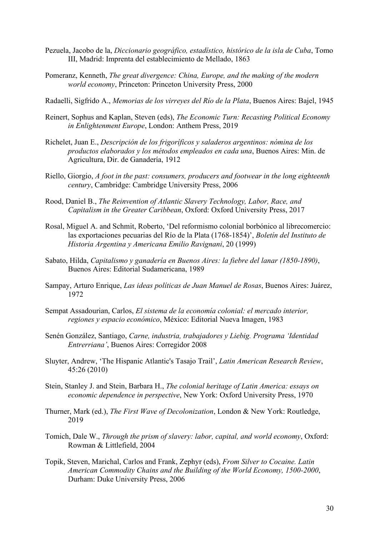- Pezuela, Jacobo de la, *Diccionario geográfico, estadístico, histórico de la isla de Cuba*, Tomo III, Madrid: Imprenta del establecimiento de Mellado, 1863
- Pomeranz, Kenneth, *The great divergence: China, Europe, and the making of the modern world economy*, Princeton: Princeton University Press, 2000
- Radaelli, Sigfrido A., *Memorias de los virreyes del Río de la Plata*, Buenos Aires: Bajel, 1945
- Reinert, Sophus and Kaplan, Steven (eds), *The Economic Turn: Recasting Political Economy in Enlightenment Europe*, London: Anthem Press, 2019
- Richelet, Juan E., *Descripción de los frigoríficos y saladeros argentinos: nómina de los productos elaborados y los métodos empleados en cada una*, Buenos Aires: Min. de Agricultura, Dir. de Ganadería, 1912
- Riello, Giorgio, *A foot in the past: consumers, producers and footwear in the long eighteenth century*, Cambridge: Cambridge University Press, 2006
- Rood, Daniel B., *The Reinvention of Atlantic Slavery Technology, Labor, Race, and Capitalism in the Greater Caribbean*, Oxford: Oxford University Press, 2017
- Rosal, Miguel A. and Schmit, Roberto, 'Del reformismo colonial borbónico al librecomercio: las exportaciones pecuarias del Río de la Plata (1768-1854)', *Boletín del Instituto de Historia Argentina y Americana Emilio Ravignani*, 20 (1999)
- Sabato, Hilda, *Capitalismo y ganadería en Buenos Aires: la fiebre del lanar (1850-1890)*, Buenos Aires: Editorial Sudamericana, 1989
- Sampay, Arturo Enrique, *Las ideas políticas de Juan Manuel de Rosas*, Buenos Aires: Juárez, 1972
- Sempat Assadourian, Carlos, *El sistema de la economía colonial: el mercado interior, regiones y espacio económico*, México: Editorial Nueva Imagen, 1983
- Senén González, Santiago, *Carne, industria, trabajadores y Liebig. Programa 'Identidad Entrerriana'*, Buenos Aires: Corregidor 2008
- Sluyter, Andrew, 'The Hispanic Atlantic's Tasajo Trail', *Latin American Research Review*, 45:26 (2010)
- Stein, Stanley J. and Stein, Barbara H., *The colonial heritage of Latin America: essays on economic dependence in perspective*, New York: Oxford University Press, 1970
- Thurner, Mark (ed.), *The First Wave of Decolonization*, London & New York: Routledge, 2019
- Tomich, Dale W., *Through the prism of slavery: labor, capital, and world economy*, Oxford: Rowman & Littlefield, 2004
- Topik, Steven, Marichal, Carlos and Frank, Zephyr (eds), *From Silver to Cocaine. Latin American Commodity Chains and the Building of the World Economy, 1500-2000*, Durham: Duke University Press, 2006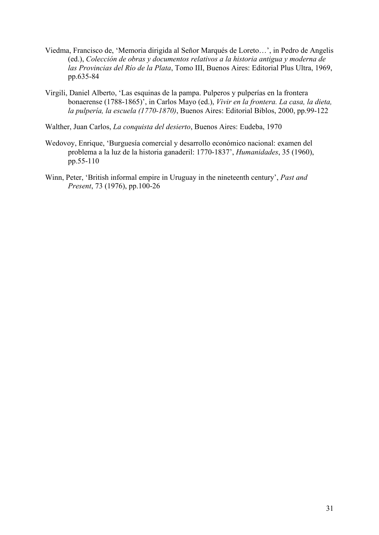- Viedma, Francisco de, 'Memoria dirigida al Señor Marqués de Loreto…', in Pedro de Angelis (ed.), *Colección de obras y documentos relativos a la historia antigua y moderna de las Provincias del Río de la Plata*, Tomo III, Buenos Aires: Editorial Plus Ultra, 1969, pp.635-84
- Virgili, Daniel Alberto, 'Las esquinas de la pampa. Pulperos y pulperías en la frontera bonaerense (1788-1865)', in Carlos Mayo (ed.), *Vivir en la frontera. La casa, la dieta, la pulpería, la escuela (1770-1870)*, Buenos Aires: Editorial Biblos, 2000, pp.99-122
- Walther, Juan Carlos, *La conquista del desierto*, Buenos Aires: Eudeba, 1970
- Wedovoy, Enrique, 'Burguesía comercial y desarrollo económico nacional: examen del problema a la luz de la historia ganaderil: 1770-1837', *Humanidades*, 35 (1960), pp.55-110
- Winn, Peter, 'British informal empire in Uruguay in the nineteenth century', *Past and Present*, 73 (1976), pp.100-26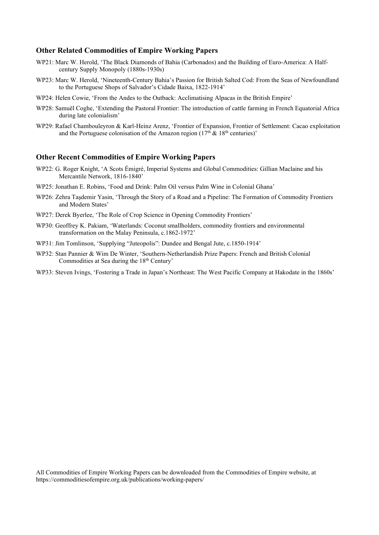#### **Other Related Commodities of Empire Working Papers**

- WP21: Marc W. Herold, 'The Black Diamonds of Bahia (Carbonados) and the Building of Euro-America: A Halfcentury Supply Monopoly (1880s-1930s)
- WP23: Marc W. Herold, 'Nineteenth-Century Bahia's Passion for British Salted Cod: From the Seas of Newfoundland to the Portuguese Shops of Salvador's Cidade Baixa, 1822-1914'
- WP24: Helen Cowie, 'From the Andes to the Outback: Acclimatising Alpacas in the British Empire'
- WP28: Samuël Coghe, 'Extending the Pastoral Frontier: The introduction of cattle farming in French Equatorial Africa during late colonialism'
- WP29: Rafael Chambouleyron & Karl-Heinz Arenz, 'Frontier of Expansion, Frontier of Settlement: Cacao exploitation and the Portuguese colonisation of the Amazon region ( $17<sup>th</sup>$  &  $18<sup>th</sup>$  centuries)'

#### **Other Recent Commodities of Empire Working Papers**

- WP22: G. Roger Knight, 'A Scots Émigré, Imperial Systems and Global Commodities: Gillian Maclaine and his Mercantile Network, 1816-1840'
- WP25: Jonathan E. Robins, 'Food and Drink: Palm Oil versus Palm Wine in Colonial Ghana'
- WP26: Zehra Taşdemir Yasin, 'Through the Story of a Road and a Pipeline: The Formation of Commodity Frontiers and Modern States'
- WP27: Derek Byerlee, 'The Role of Crop Science in Opening Commodity Frontiers'
- WP30: Geoffrey K. Pakiam, 'Waterlands: Coconut smallholders, commodity frontiers and environmental transformation on the Malay Peninsula, c.1862-1972'
- WP31: Jim Tomlinson, 'Supplying "Juteopolis": Dundee and Bengal Jute, c.1850-1914'
- WP32: Stan Pannier & Wim De Winter, 'Southern-Netherlandish Prize Papers: French and British Colonial Commodities at Sea during the 18<sup>th</sup> Century'
- WP33: Steven Ivings, 'Fostering a Trade in Japan's Northeast: The West Pacific Company at Hakodate in the 1860s'